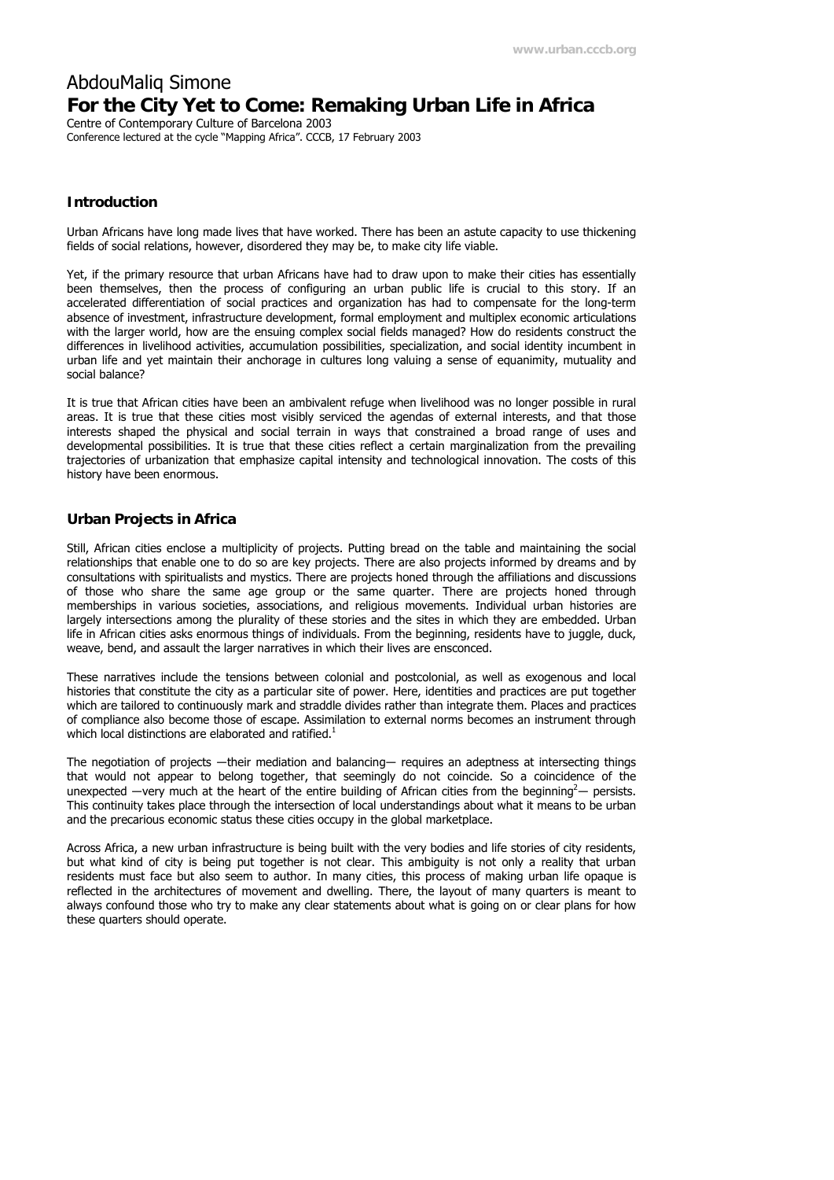# AbdouMaliq Simone **For the City Yet to Come: Remaking Urban Life in Africa**

Centre of Contemporary Culture of Barcelona 2003 Conference lectured at the cycle "Mapping Africa". CCCB, 17 February 2003

## **Introduction**

Urban Africans have long made lives that have worked. There has been an astute capacity to use thickening fields of social relations, however, disordered they may be, to make city life viable.

Yet, if the primary resource that urban Africans have had to draw upon to make their cities has essentially been themselves, then the process of configuring an urban public life is crucial to this story. If an accelerated differentiation of social practices and organization has had to compensate for the long-term absence of investment, infrastructure development, formal employment and multiplex economic articulations with the larger world, how are the ensuing complex social fields managed? How do residents construct the differences in livelihood activities, accumulation possibilities, specialization, and social identity incumbent in urban life and yet maintain their anchorage in cultures long valuing a sense of equanimity, mutuality and social balance?

It is true that African cities have been an ambivalent refuge when livelihood was no longer possible in rural areas. It is true that these cities most visibly serviced the agendas of external interests, and that those interests shaped the physical and social terrain in ways that constrained a broad range of uses and developmental possibilities. It is true that these cities reflect a certain marginalization from the prevailing trajectories of urbanization that emphasize capital intensity and technological innovation. The costs of this history have been enormous.

# **Urban Projects in Africa**

Still, African cities enclose a multiplicity of projects. Putting bread on the table and maintaining the social relationships that enable one to do so are key projects. There are also projects informed by dreams and by consultations with spiritualists and mystics. There are projects honed through the affiliations and discussions of those who share the same age group or the same quarter. There are projects honed through memberships in various societies, associations, and religious movements. Individual urban histories are largely intersections among the plurality of these stories and the sites in which they are embedded. Urban life in African cities asks enormous things of individuals. From the beginning, residents have to juggle, duck, weave, bend, and assault the larger narratives in which their lives are ensconced.

These narratives include the tensions between colonial and postcolonial, as well as exogenous and local histories that constitute the city as a particular site of power. Here, identities and practices are put together which are tailored to continuously mark and straddle divides rather than integrate them. Places and practices of compliance also become those of escape. Assimilation to external norms becomes an instrument through which local distinctions are elaborated and ratified. $<sup>1</sup>$ </sup>

The negotiation of projects —their mediation and balancing— requires an adeptness at intersecting things that would not appear to belong together, that seemingly do not coincide. So a coincidence of the unexpected —very much at the heart of the entire building of African cities from the beginning<sup>2</sup>— persists. This continuity takes place through the intersection of local understandings about what it means to be urban and the precarious economic status these cities occupy in the global marketplace.

Across Africa, a new urban infrastructure is being built with the very bodies and life stories of city residents, but what kind of city is being put together is not clear. This ambiguity is not only a reality that urban residents must face but also seem to author. In many cities, this process of making urban life opaque is reflected in the architectures of movement and dwelling. There, the layout of many quarters is meant to always confound those who try to make any clear statements about what is going on or clear plans for how these quarters should operate.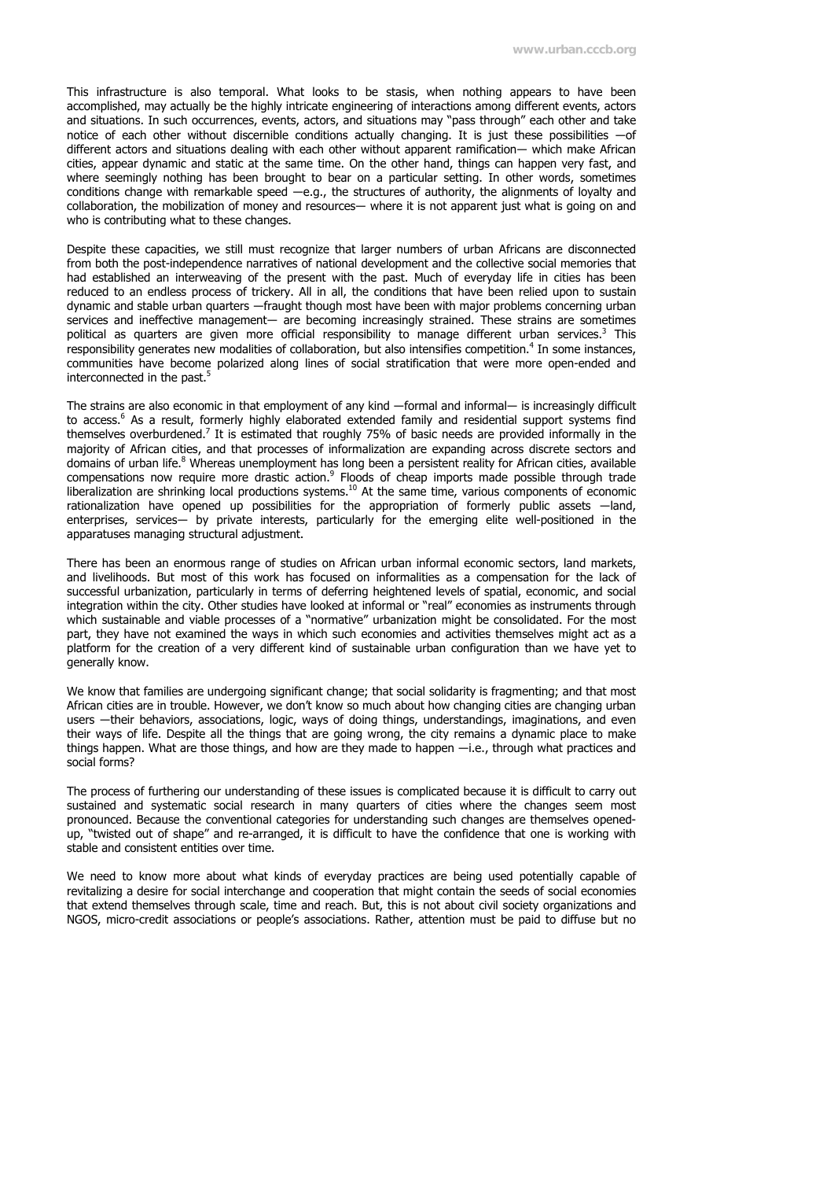This infrastructure is also temporal. What looks to be stasis, when nothing appears to have been accomplished, may actually be the highly intricate engineering of interactions among different events, actors and situations. In such occurrences, events, actors, and situations may "pass through" each other and take notice of each other without discernible conditions actually changing. It is just these possibilities ―of different actors and situations dealing with each other without apparent ramification― which make African cities, appear dynamic and static at the same time. On the other hand, things can happen very fast, and where seemingly nothing has been brought to bear on a particular setting. In other words, sometimes conditions change with remarkable speed —e.g., the structures of authority, the alignments of loyalty and collaboration, the mobilization of money and resources— where it is not apparent just what is going on and who is contributing what to these changes.

Despite these capacities, we still must recognize that larger numbers of urban Africans are disconnected from both the post-independence narratives of national development and the collective social memories that had established an interweaving of the present with the past. Much of everyday life in cities has been reduced to an endless process of trickery. All in all, the conditions that have been relied upon to sustain dynamic and stable urban quarters ―fraught though most have been with major problems concerning urban services and ineffective management- are becoming increasingly strained. These strains are sometimes political as quarters are given more official responsibility to manage different urban services.<sup>3</sup> This responsibility generates new modalities of collaboration, but also intensifies competition.<sup>4</sup> In some instances, communities have become polarized along lines of social stratification that were more open-ended and interconnected in the past.<sup>5</sup>

The strains are also economic in that employment of any kind —formal and informal— is increasingly difficult to access.<sup>6</sup> As a result, formerly highly elaborated extended family and residential support systems find themselves overburdened.<sup>7</sup> It is estimated that roughly 75% of basic needs are provided informally in the majority of African cities, and that processes of informalization are expanding across discrete sectors and domains of urban life.<sup>8</sup> Whereas unemployment has long been a persistent reality for African cities, available compensations now require more drastic action.<sup>9</sup> Floods of cheap imports made possible through trade liberalization are shrinking local productions systems.<sup>10</sup> At the same time, various components of economic rationalization have opened up possibilities for the appropriation of formerly public assets ―land, enterprises, services― by private interests, particularly for the emerging elite well-positioned in the apparatuses managing structural adjustment.

There has been an enormous range of studies on African urban informal economic sectors, land markets, and livelihoods. But most of this work has focused on informalities as a compensation for the lack of successful urbanization, particularly in terms of deferring heightened levels of spatial, economic, and social integration within the city. Other studies have looked at informal or "real" economies as instruments through which sustainable and viable processes of a "normative" urbanization might be consolidated. For the most part, they have not examined the ways in which such economies and activities themselves might act as a platform for the creation of a very different kind of sustainable urban configuration than we have yet to generally know.

We know that families are undergoing significant change; that social solidarity is fragmenting; and that most African cities are in trouble. However, we don't know so much about how changing cities are changing urban users ―their behaviors, associations, logic, ways of doing things, understandings, imaginations, and even their ways of life. Despite all the things that are going wrong, the city remains a dynamic place to make things happen. What are those things, and how are they made to happen ―i.e., through what practices and social forms?

The process of furthering our understanding of these issues is complicated because it is difficult to carry out sustained and systematic social research in many quarters of cities where the changes seem most pronounced. Because the conventional categories for understanding such changes are themselves openedup, "twisted out of shape" and re-arranged, it is difficult to have the confidence that one is working with stable and consistent entities over time.

We need to know more about what kinds of everyday practices are being used potentially capable of revitalizing a desire for social interchange and cooperation that might contain the seeds of social economies that extend themselves through scale, time and reach. But, this is not about civil society organizations and NGOS, micro-credit associations or people's associations. Rather, attention must be paid to diffuse but no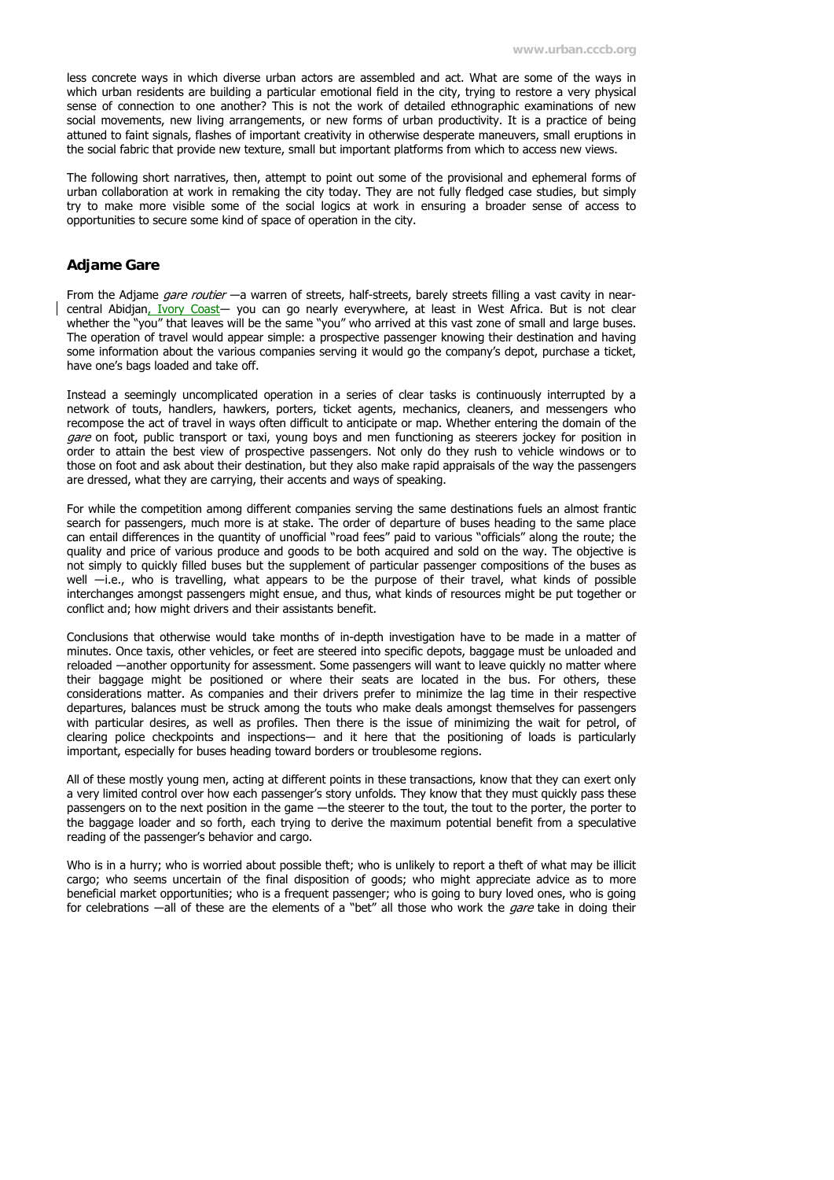less concrete ways in which diverse urban actors are assembled and act. What are some of the ways in which urban residents are building a particular emotional field in the city, trying to restore a very physical sense of connection to one another? This is not the work of detailed ethnographic examinations of new social movements, new living arrangements, or new forms of urban productivity. It is a practice of being attuned to faint signals, flashes of important creativity in otherwise desperate maneuvers, small eruptions in the social fabric that provide new texture, small but important platforms from which to access new views.

The following short narratives, then, attempt to point out some of the provisional and ephemeral forms of urban collaboration at work in remaking the city today. They are not fully fledged case studies, but simply try to make more visible some of the social logics at work in ensuring a broader sense of access to opportunities to secure some kind of space of operation in the city.

## **Adjame Gare**

From the Adjame gare routier —a warren of streets, half-streets, barely streets filling a vast cavity in nearcentral Abidjan, Ivory Coast- you can go nearly everywhere, at least in West Africa. But is not clear whether the "you" that leaves will be the same "you" who arrived at this vast zone of small and large buses. The operation of travel would appear simple: a prospective passenger knowing their destination and having some information about the various companies serving it would go the company's depot, purchase a ticket, have one's bags loaded and take off.

Instead a seemingly uncomplicated operation in a series of clear tasks is continuously interrupted by a network of touts, handlers, hawkers, porters, ticket agents, mechanics, cleaners, and messengers who recompose the act of travel in ways often difficult to anticipate or map. Whether entering the domain of the gare on foot, public transport or taxi, young boys and men functioning as steerers jockey for position in order to attain the best view of prospective passengers. Not only do they rush to vehicle windows or to those on foot and ask about their destination, but they also make rapid appraisals of the way the passengers are dressed, what they are carrying, their accents and ways of speaking.

For while the competition among different companies serving the same destinations fuels an almost frantic search for passengers, much more is at stake. The order of departure of buses heading to the same place can entail differences in the quantity of unofficial "road fees" paid to various "officials" along the route; the quality and price of various produce and goods to be both acquired and sold on the way. The objective is not simply to quickly filled buses but the supplement of particular passenger compositions of the buses as well —i.e., who is travelling, what appears to be the purpose of their travel, what kinds of possible interchanges amongst passengers might ensue, and thus, what kinds of resources might be put together or conflict and; how might drivers and their assistants benefit.

Conclusions that otherwise would take months of in-depth investigation have to be made in a matter of minutes. Once taxis, other vehicles, or feet are steered into specific depots, baggage must be unloaded and reloaded ―another opportunity for assessment. Some passengers will want to leave quickly no matter where their baggage might be positioned or where their seats are located in the bus. For others, these considerations matter. As companies and their drivers prefer to minimize the lag time in their respective departures, balances must be struck among the touts who make deals amongst themselves for passengers with particular desires, as well as profiles. Then there is the issue of minimizing the wait for petrol, of clearing police checkpoints and inspections― and it here that the positioning of loads is particularly important, especially for buses heading toward borders or troublesome regions.

All of these mostly young men, acting at different points in these transactions, know that they can exert only a very limited control over how each passenger's story unfolds. They know that they must quickly pass these passengers on to the next position in the game ―the steerer to the tout, the tout to the porter, the porter to the baggage loader and so forth, each trying to derive the maximum potential benefit from a speculative reading of the passenger's behavior and cargo.

Who is in a hurry; who is worried about possible theft; who is unlikely to report a theft of what may be illicit cargo; who seems uncertain of the final disposition of goods; who might appreciate advice as to more beneficial market opportunities; who is a frequent passenger; who is going to bury loved ones, who is going for celebrations —all of these are the elements of a "bet" all those who work the gare take in doing their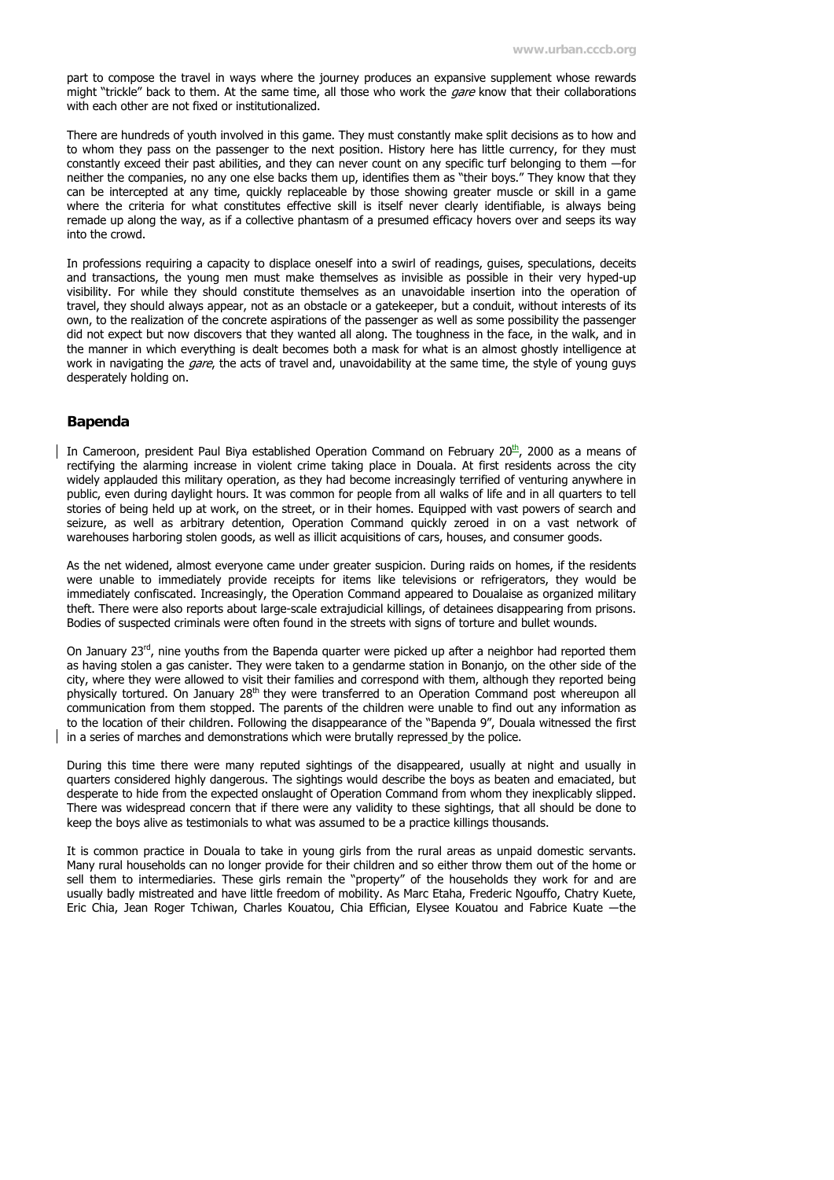part to compose the travel in ways where the journey produces an expansive supplement whose rewards might "trickle" back to them. At the same time, all those who work the gare know that their collaborations with each other are not fixed or institutionalized.

There are hundreds of youth involved in this game. They must constantly make split decisions as to how and to whom they pass on the passenger to the next position. History here has little currency, for they must constantly exceed their past abilities, and they can never count on any specific turf belonging to them ―for neither the companies, no any one else backs them up, identifies them as "their boys." They know that they can be intercepted at any time, quickly replaceable by those showing greater muscle or skill in a game where the criteria for what constitutes effective skill is itself never clearly identifiable, is always being remade up along the way, as if a collective phantasm of a presumed efficacy hovers over and seeps its way into the crowd.

In professions requiring a capacity to displace oneself into a swirl of readings, guises, speculations, deceits and transactions, the young men must make themselves as invisible as possible in their very hyped-up visibility. For while they should constitute themselves as an unavoidable insertion into the operation of travel, they should always appear, not as an obstacle or a gatekeeper, but a conduit, without interests of its own, to the realization of the concrete aspirations of the passenger as well as some possibility the passenger did not expect but now discovers that they wanted all along. The toughness in the face, in the walk, and in the manner in which everything is dealt becomes both a mask for what is an almost ghostly intelligence at work in navigating the *gare*, the acts of travel and, unavoidability at the same time, the style of young guys desperately holding on.

## **Bapenda**

In Cameroon, president Paul Biya established Operation Command on February  $20^{\text{th}}$ , 2000 as a means of rectifying the alarming increase in violent crime taking place in Douala. At first residents across the city widely applauded this military operation, as they had become increasingly terrified of venturing anywhere in public, even during daylight hours. It was common for people from all walks of life and in all quarters to tell stories of being held up at work, on the street, or in their homes. Equipped with vast powers of search and seizure, as well as arbitrary detention, Operation Command quickly zeroed in on a vast network of warehouses harboring stolen goods, as well as illicit acquisitions of cars, houses, and consumer goods.

As the net widened, almost everyone came under greater suspicion. During raids on homes, if the residents were unable to immediately provide receipts for items like televisions or refrigerators, they would be immediately confiscated. Increasingly, the Operation Command appeared to Doualaise as organized military theft. There were also reports about large-scale extrajudicial killings, of detainees disappearing from prisons. Bodies of suspected criminals were often found in the streets with signs of torture and bullet wounds.

On January  $23<sup>rd</sup>$ , nine youths from the Bapenda quarter were picked up after a neighbor had reported them as having stolen a gas canister. They were taken to a gendarme station in Bonanjo, on the other side of the city, where they were allowed to visit their families and correspond with them, although they reported being physically tortured. On January 28<sup>th</sup> they were transferred to an Operation Command post whereupon all communication from them stopped. The parents of the children were unable to find out any information as to the location of their children. Following the disappearance of the "Bapenda 9", Douala witnessed the first in a series of marches and demonstrations which were brutally repressed by the police.

During this time there were many reputed sightings of the disappeared, usually at night and usually in quarters considered highly dangerous. The sightings would describe the boys as beaten and emaciated, but desperate to hide from the expected onslaught of Operation Command from whom they inexplicably slipped. There was widespread concern that if there were any validity to these sightings, that all should be done to keep the boys alive as testimonials to what was assumed to be a practice killings thousands.

It is common practice in Douala to take in young girls from the rural areas as unpaid domestic servants. Many rural households can no longer provide for their children and so either throw them out of the home or sell them to intermediaries. These girls remain the "property" of the households they work for and are usually badly mistreated and have little freedom of mobility. As Marc Etaha, Frederic Ngouffo, Chatry Kuete, Eric Chia, Jean Roger Tchiwan, Charles Kouatou, Chia Effician, Elysee Kouatou and Fabrice Kuate ―the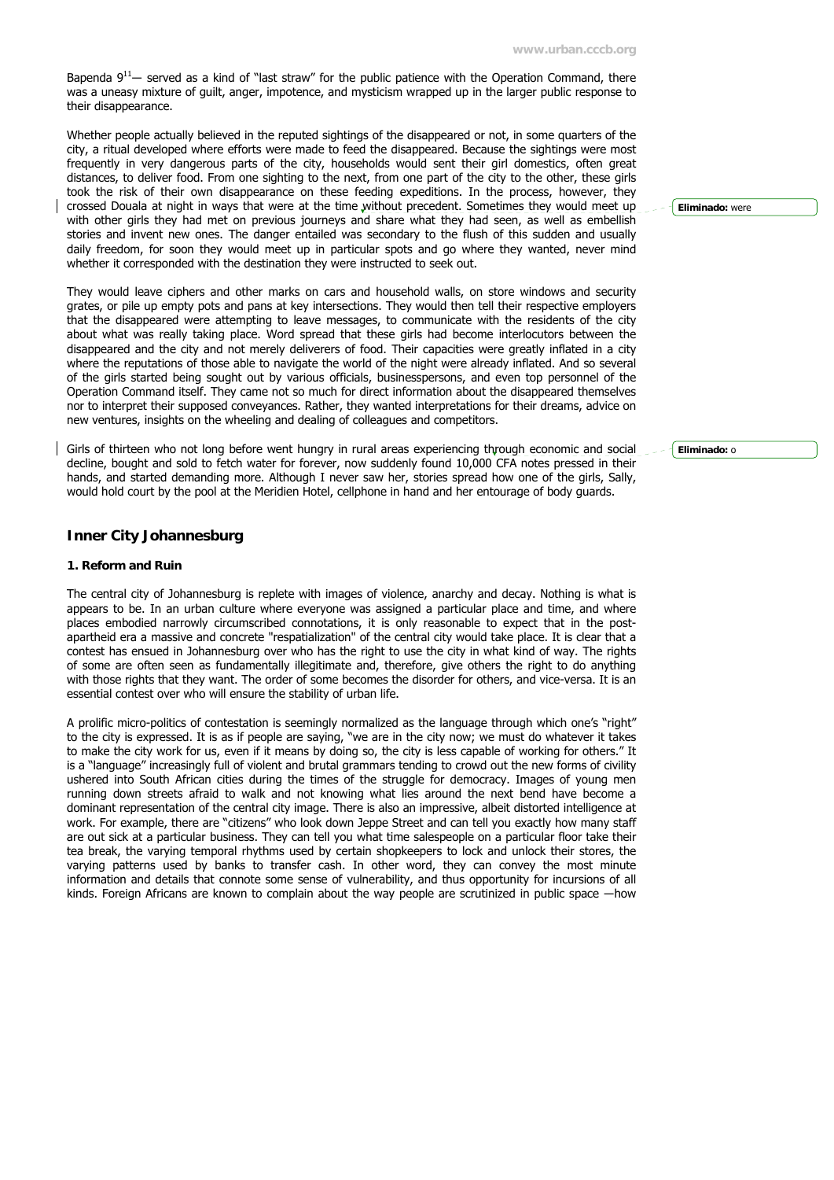**www.urban.cccb.org** 

Bapenda  $9^{11}$ — served as a kind of "last straw" for the public patience with the Operation Command, there was a uneasy mixture of guilt, anger, impotence, and mysticism wrapped up in the larger public response to their disappearance.

Whether people actually believed in the reputed sightings of the disappeared or not, in some quarters of the city, a ritual developed where efforts were made to feed the disappeared. Because the sightings were most frequently in very dangerous parts of the city, households would sent their girl domestics, often great distances, to deliver food. From one sighting to the next, from one part of the city to the other, these girls took the risk of their own disappearance on these feeding expeditions. In the process, however, they crossed Douala at night in ways that were at the time without precedent. Sometimes they would meet up with other girls they had met on previous journeys and share what they had seen, as well as embellish stories and invent new ones. The danger entailed was secondary to the flush of this sudden and usually daily freedom, for soon they would meet up in particular spots and go where they wanted, never mind whether it corresponded with the destination they were instructed to seek out.

They would leave ciphers and other marks on cars and household walls, on store windows and security grates, or pile up empty pots and pans at key intersections. They would then tell their respective employers that the disappeared were attempting to leave messages, to communicate with the residents of the city about what was really taking place. Word spread that these girls had become interlocutors between the disappeared and the city and not merely deliverers of food. Their capacities were greatly inflated in a city where the reputations of those able to navigate the world of the night were already inflated. And so several of the girls started being sought out by various officials, businesspersons, and even top personnel of the Operation Command itself. They came not so much for direct information about the disappeared themselves nor to interpret their supposed conveyances. Rather, they wanted interpretations for their dreams, advice on new ventures, insights on the wheeling and dealing of colleagues and competitors.

Girls of thirteen who not long before went hungry in rural areas experiencing through economic and social decline, bought and sold to fetch water for forever, now suddenly found 10,000 CFA notes pressed in their hands, and started demanding more. Although I never saw her, stories spread how one of the girls, Sally, would hold court by the pool at the Meridien Hotel, cellphone in hand and her entourage of body guards.

## **Inner City Johannesburg**

## **1. Reform and Ruin**

The central city of Johannesburg is replete with images of violence, anarchy and decay. Nothing is what is appears to be. In an urban culture where everyone was assigned a particular place and time, and where places embodied narrowly circumscribed connotations, it is only reasonable to expect that in the postapartheid era a massive and concrete "respatialization" of the central city would take place. It is clear that a contest has ensued in Johannesburg over who has the right to use the city in what kind of way. The rights of some are often seen as fundamentally illegitimate and, therefore, give others the right to do anything with those rights that they want. The order of some becomes the disorder for others, and vice-versa. It is an essential contest over who will ensure the stability of urban life.

A prolific micro-politics of contestation is seemingly normalized as the language through which one's "right" to the city is expressed. It is as if people are saying, "we are in the city now; we must do whatever it takes to make the city work for us, even if it means by doing so, the city is less capable of working for others." It is a "language" increasingly full of violent and brutal grammars tending to crowd out the new forms of civility ushered into South African cities during the times of the struggle for democracy. Images of young men running down streets afraid to walk and not knowing what lies around the next bend have become a dominant representation of the central city image. There is also an impressive, albeit distorted intelligence at work. For example, there are "citizens" who look down Jeppe Street and can tell you exactly how many staff are out sick at a particular business. They can tell you what time salespeople on a particular floor take their tea break, the varying temporal rhythms used by certain shopkeepers to lock and unlock their stores, the varying patterns used by banks to transfer cash. In other word, they can convey the most minute information and details that connote some sense of vulnerability, and thus opportunity for incursions of all kinds. Foreign Africans are known to complain about the way people are scrutinized in public space —how

**Eliminado:** were

**Eliminado:** o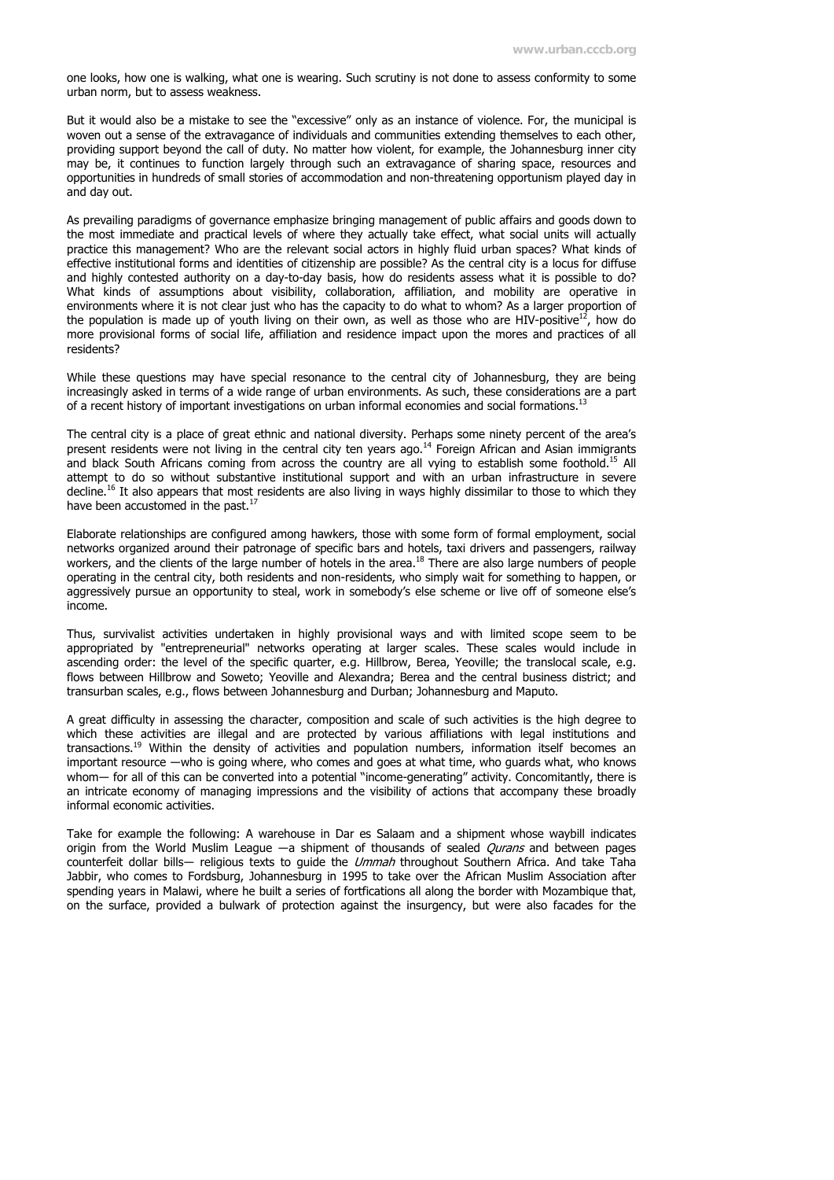one looks, how one is walking, what one is wearing. Such scrutiny is not done to assess conformity to some urban norm, but to assess weakness.

But it would also be a mistake to see the "excessive" only as an instance of violence. For, the municipal is woven out a sense of the extravagance of individuals and communities extending themselves to each other, providing support beyond the call of duty. No matter how violent, for example, the Johannesburg inner city may be, it continues to function largely through such an extravagance of sharing space, resources and opportunities in hundreds of small stories of accommodation and non-threatening opportunism played day in and day out.

As prevailing paradigms of governance emphasize bringing management of public affairs and goods down to the most immediate and practical levels of where they actually take effect, what social units will actually practice this management? Who are the relevant social actors in highly fluid urban spaces? What kinds of effective institutional forms and identities of citizenship are possible? As the central city is a locus for diffuse and highly contested authority on a day-to-day basis, how do residents assess what it is possible to do? What kinds of assumptions about visibility, collaboration, affiliation, and mobility are operative in environments where it is not clear just who has the capacity to do what to whom? As a larger proportion of the population is made up of youth living on their own, as well as those who are HIV-positive<sup>12</sup>, how do more provisional forms of social life, affiliation and residence impact upon the mores and practices of all residents?

While these questions may have special resonance to the central city of Johannesburg, they are being increasingly asked in terms of a wide range of urban environments. As such, these considerations are a part of a recent history of important investigations on urban informal economies and social formations.<sup>13</sup>

The central city is a place of great ethnic and national diversity. Perhaps some ninety percent of the area's present residents were not living in the central city ten years ago.<sup>14</sup> Foreign African and Asian immigrants and black South Africans coming from across the country are all vying to establish some foothold.<sup>15</sup> All attempt to do so without substantive institutional support and with an urban infrastructure in severe decline.<sup>16</sup> It also appears that most residents are also living in ways highly dissimilar to those to which they have been accustomed in the past.<sup>17</sup>

Elaborate relationships are configured among hawkers, those with some form of formal employment, social networks organized around their patronage of specific bars and hotels, taxi drivers and passengers, railway workers, and the clients of the large number of hotels in the area.<sup>18</sup> There are also large numbers of people operating in the central city, both residents and non-residents, who simply wait for something to happen, or aggressively pursue an opportunity to steal, work in somebody's else scheme or live off of someone else's income.

Thus, survivalist activities undertaken in highly provisional ways and with limited scope seem to be appropriated by "entrepreneurial" networks operating at larger scales. These scales would include in ascending order: the level of the specific quarter, e.g. Hillbrow, Berea, Yeoville; the translocal scale, e.g. flows between Hillbrow and Soweto; Yeoville and Alexandra; Berea and the central business district; and transurban scales, e.g., flows between Johannesburg and Durban; Johannesburg and Maputo.

A great difficulty in assessing the character, composition and scale of such activities is the high degree to which these activities are illegal and are protected by various affiliations with legal institutions and transactions.19 Within the density of activities and population numbers, information itself becomes an important resource ―who is going where, who comes and goes at what time, who guards what, who knows whom― for all of this can be converted into a potential "income-generating" activity. Concomitantly, there is an intricate economy of managing impressions and the visibility of actions that accompany these broadly informal economic activities.

Take for example the following: A warehouse in Dar es Salaam and a shipment whose waybill indicates origin from the World Muslim League  $-a$  shipment of thousands of sealed *Qurans* and between pages counterfeit dollar bills— religious texts to guide the Ummah throughout Southern Africa. And take Taha Jabbir, who comes to Fordsburg, Johannesburg in 1995 to take over the African Muslim Association after spending years in Malawi, where he built a series of fortfications all along the border with Mozambique that, on the surface, provided a bulwark of protection against the insurgency, but were also facades for the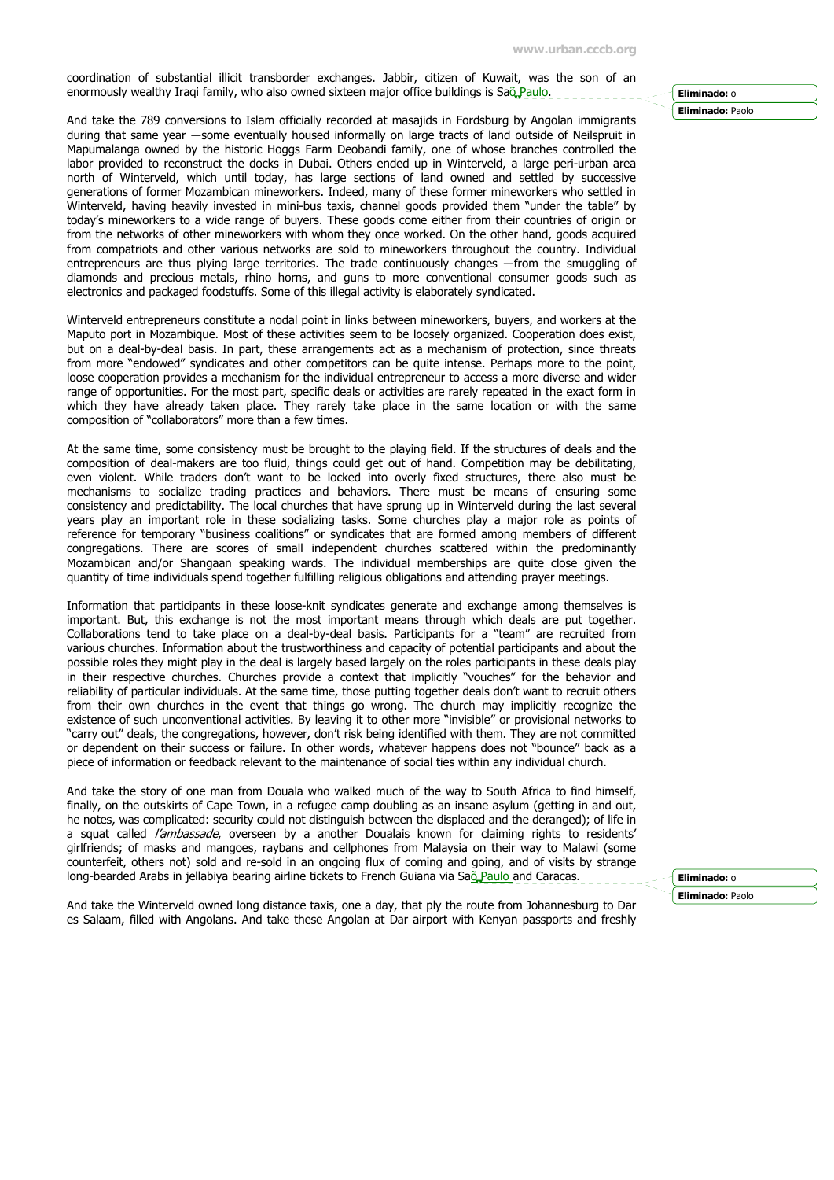coordination of substantial illicit transborder exchanges. Jabbir, citizen of Kuwait, was the son of an enormously wealthy Iraqi family, who also owned sixteen major office buildings is Sag Paulo.

**Eliminado:** o

**Eliminado:** Paolo

And take the 789 conversions to Islam officially recorded at masajids in Fordsburg by Angolan immigrants during that same year ―some eventually housed informally on large tracts of land outside of Neilspruit in Mapumalanga owned by the historic Hoggs Farm Deobandi family, one of whose branches controlled the labor provided to reconstruct the docks in Dubai. Others ended up in Winterveld, a large peri-urban area north of Winterveld, which until today, has large sections of land owned and settled by successive generations of former Mozambican mineworkers. Indeed, many of these former mineworkers who settled in Winterveld, having heavily invested in mini-bus taxis, channel goods provided them "under the table" by today's mineworkers to a wide range of buyers. These goods come either from their countries of origin or from the networks of other mineworkers with whom they once worked. On the other hand, goods acquired from compatriots and other various networks are sold to mineworkers throughout the country. Individual entrepreneurs are thus plying large territories. The trade continuously changes ―from the smuggling of diamonds and precious metals, rhino horns, and guns to more conventional consumer goods such as electronics and packaged foodstuffs. Some of this illegal activity is elaborately syndicated.

Winterveld entrepreneurs constitute a nodal point in links between mineworkers, buyers, and workers at the Maputo port in Mozambique. Most of these activities seem to be loosely organized. Cooperation does exist, but on a deal-by-deal basis. In part, these arrangements act as a mechanism of protection, since threats from more "endowed" syndicates and other competitors can be quite intense. Perhaps more to the point, loose cooperation provides a mechanism for the individual entrepreneur to access a more diverse and wider range of opportunities. For the most part, specific deals or activities are rarely repeated in the exact form in which they have already taken place. They rarely take place in the same location or with the same composition of "collaborators" more than a few times.

At the same time, some consistency must be brought to the playing field. If the structures of deals and the composition of deal-makers are too fluid, things could get out of hand. Competition may be debilitating, even violent. While traders don't want to be locked into overly fixed structures, there also must be mechanisms to socialize trading practices and behaviors. There must be means of ensuring some consistency and predictability. The local churches that have sprung up in Winterveld during the last several years play an important role in these socializing tasks. Some churches play a major role as points of reference for temporary "business coalitions" or syndicates that are formed among members of different congregations. There are scores of small independent churches scattered within the predominantly Mozambican and/or Shangaan speaking wards. The individual memberships are quite close given the quantity of time individuals spend together fulfilling religious obligations and attending prayer meetings.

Information that participants in these loose-knit syndicates generate and exchange among themselves is important. But, this exchange is not the most important means through which deals are put together. Collaborations tend to take place on a deal-by-deal basis. Participants for a "team" are recruited from various churches. Information about the trustworthiness and capacity of potential participants and about the possible roles they might play in the deal is largely based largely on the roles participants in these deals play in their respective churches. Churches provide a context that implicitly "vouches" for the behavior and reliability of particular individuals. At the same time, those putting together deals don't want to recruit others from their own churches in the event that things go wrong. The church may implicitly recognize the existence of such unconventional activities. By leaving it to other more "invisible" or provisional networks to "carry out" deals, the congregations, however, don't risk being identified with them. They are not committed or dependent on their success or failure. In other words, whatever happens does not "bounce" back as a piece of information or feedback relevant to the maintenance of social ties within any individual church.

And take the story of one man from Douala who walked much of the way to South Africa to find himself, finally, on the outskirts of Cape Town, in a refugee camp doubling as an insane asylum (getting in and out, he notes, was complicated: security could not distinguish between the displaced and the deranged); of life in a squat called *l'ambassade*, overseen by a another Doualais known for claiming rights to residents' girlfriends; of masks and mangoes, raybans and cellphones from Malaysia on their way to Malawi (some counterfeit, others not) sold and re-sold in an ongoing flux of coming and going, and of visits by strange long-bearded Arabs in jellabiya bearing airline tickets to French Guiana via Saõ Paulo and Caracas.

And take the Winterveld owned long distance taxis, one a day, that ply the route from Johannesburg to Dar es Salaam, filled with Angolans. And take these Angolan at Dar airport with Kenyan passports and freshly **Eliminado:** o

**Eliminado:** Paolo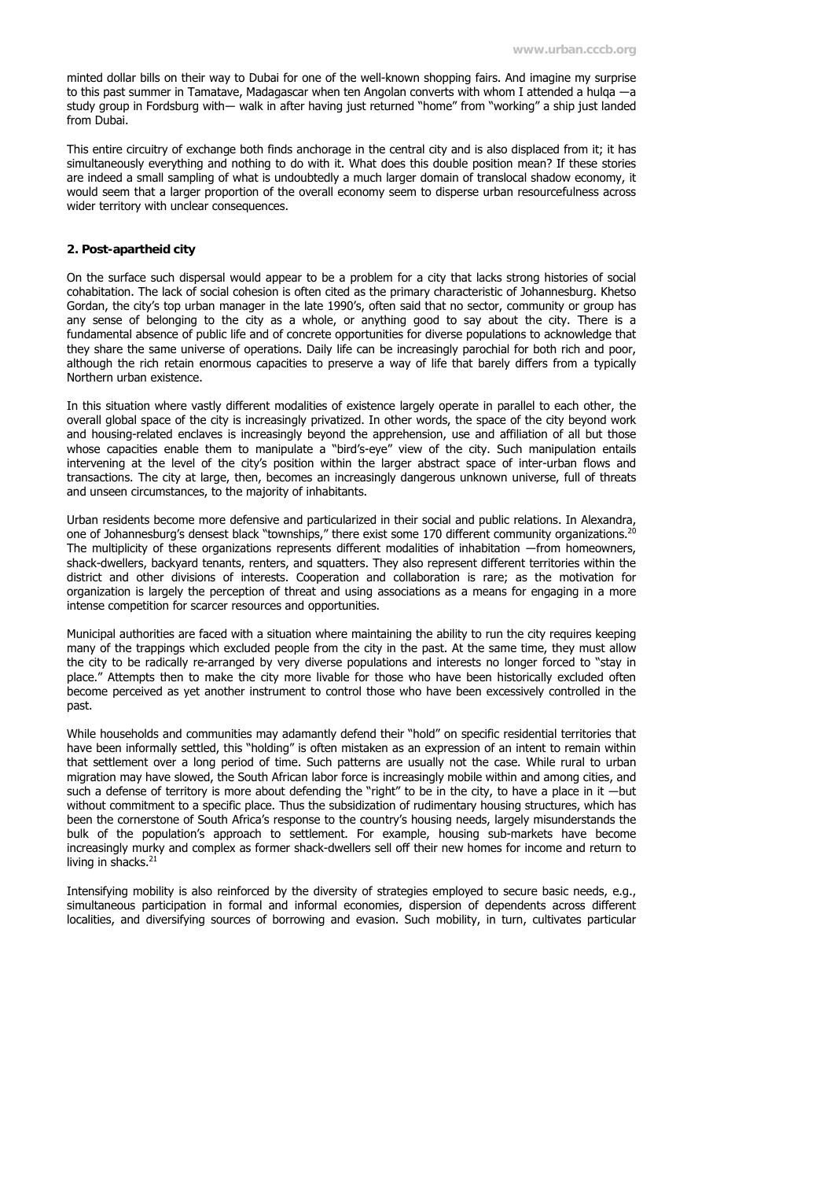minted dollar bills on their way to Dubai for one of the well-known shopping fairs. And imagine my surprise to this past summer in Tamatave, Madagascar when ten Angolan converts with whom I attended a hulqa —a study group in Fordsburg with― walk in after having just returned "home" from "working" a ship just landed from Dubai.

This entire circuitry of exchange both finds anchorage in the central city and is also displaced from it; it has simultaneously everything and nothing to do with it. What does this double position mean? If these stories are indeed a small sampling of what is undoubtedly a much larger domain of translocal shadow economy, it would seem that a larger proportion of the overall economy seem to disperse urban resourcefulness across wider territory with unclear consequences.

#### **2. Post-apartheid city**

On the surface such dispersal would appear to be a problem for a city that lacks strong histories of social cohabitation. The lack of social cohesion is often cited as the primary characteristic of Johannesburg. Khetso Gordan, the city's top urban manager in the late 1990's, often said that no sector, community or group has any sense of belonging to the city as a whole, or anything good to say about the city. There is a fundamental absence of public life and of concrete opportunities for diverse populations to acknowledge that they share the same universe of operations. Daily life can be increasingly parochial for both rich and poor, although the rich retain enormous capacities to preserve a way of life that barely differs from a typically Northern urban existence.

In this situation where vastly different modalities of existence largely operate in parallel to each other, the overall global space of the city is increasingly privatized. In other words, the space of the city beyond work and housing-related enclaves is increasingly beyond the apprehension, use and affiliation of all but those whose capacities enable them to manipulate a "bird's-eye" view of the city. Such manipulation entails intervening at the level of the city's position within the larger abstract space of inter-urban flows and transactions. The city at large, then, becomes an increasingly dangerous unknown universe, full of threats and unseen circumstances, to the majority of inhabitants.

Urban residents become more defensive and particularized in their social and public relations. In Alexandra, one of Johannesburg's densest black "townships," there exist some 170 different community organizations. The multiplicity of these organizations represents different modalities of inhabitation ―from homeowners, shack-dwellers, backyard tenants, renters, and squatters. They also represent different territories within the district and other divisions of interests. Cooperation and collaboration is rare; as the motivation for organization is largely the perception of threat and using associations as a means for engaging in a more intense competition for scarcer resources and opportunities.

Municipal authorities are faced with a situation where maintaining the ability to run the city requires keeping many of the trappings which excluded people from the city in the past. At the same time, they must allow the city to be radically re-arranged by very diverse populations and interests no longer forced to "stay in place." Attempts then to make the city more livable for those who have been historically excluded often become perceived as yet another instrument to control those who have been excessively controlled in the past.

While households and communities may adamantly defend their "hold" on specific residential territories that have been informally settled, this "holding" is often mistaken as an expression of an intent to remain within that settlement over a long period of time. Such patterns are usually not the case. While rural to urban migration may have slowed, the South African labor force is increasingly mobile within and among cities, and such a defense of territory is more about defending the "right" to be in the city, to have a place in it —but without commitment to a specific place. Thus the subsidization of rudimentary housing structures, which has been the cornerstone of South Africa's response to the country's housing needs, largely misunderstands the bulk of the population's approach to settlement. For example, housing sub-markets have become increasingly murky and complex as former shack-dwellers sell off their new homes for income and return to living in shacks. $21$ 

Intensifying mobility is also reinforced by the diversity of strategies employed to secure basic needs, e.g., simultaneous participation in formal and informal economies, dispersion of dependents across different localities, and diversifying sources of borrowing and evasion. Such mobility, in turn, cultivates particular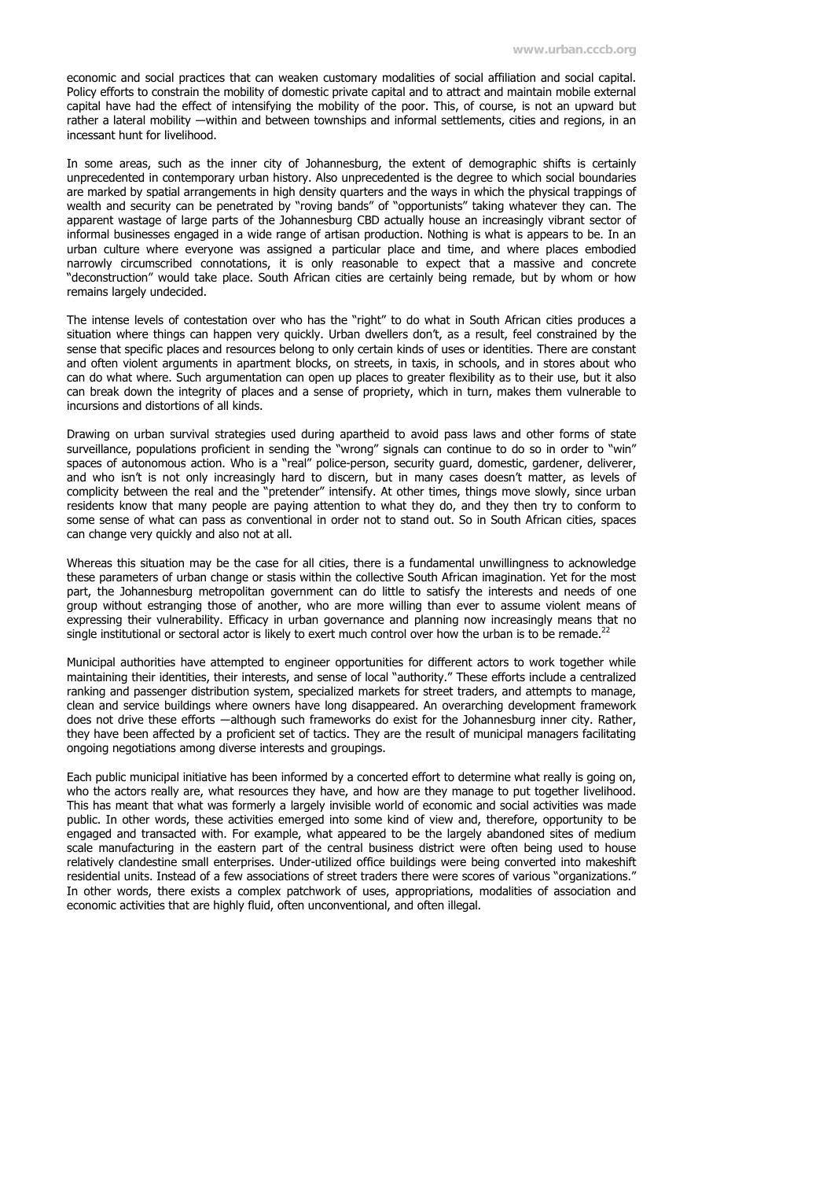economic and social practices that can weaken customary modalities of social affiliation and social capital. Policy efforts to constrain the mobility of domestic private capital and to attract and maintain mobile external capital have had the effect of intensifying the mobility of the poor. This, of course, is not an upward but rather a lateral mobility ―within and between townships and informal settlements, cities and regions, in an incessant hunt for livelihood.

In some areas, such as the inner city of Johannesburg, the extent of demographic shifts is certainly unprecedented in contemporary urban history. Also unprecedented is the degree to which social boundaries are marked by spatial arrangements in high density quarters and the ways in which the physical trappings of wealth and security can be penetrated by "roving bands" of "opportunists" taking whatever they can. The apparent wastage of large parts of the Johannesburg CBD actually house an increasingly vibrant sector of informal businesses engaged in a wide range of artisan production. Nothing is what is appears to be. In an urban culture where everyone was assigned a particular place and time, and where places embodied narrowly circumscribed connotations, it is only reasonable to expect that a massive and concrete "deconstruction" would take place. South African cities are certainly being remade, but by whom or how remains largely undecided.

The intense levels of contestation over who has the "right" to do what in South African cities produces a situation where things can happen very quickly. Urban dwellers don't, as a result, feel constrained by the sense that specific places and resources belong to only certain kinds of uses or identities. There are constant and often violent arguments in apartment blocks, on streets, in taxis, in schools, and in stores about who can do what where. Such argumentation can open up places to greater flexibility as to their use, but it also can break down the integrity of places and a sense of propriety, which in turn, makes them vulnerable to incursions and distortions of all kinds.

Drawing on urban survival strategies used during apartheid to avoid pass laws and other forms of state surveillance, populations proficient in sending the "wrong" signals can continue to do so in order to "win" spaces of autonomous action. Who is a "real" police-person, security guard, domestic, gardener, deliverer, and who isn't is not only increasingly hard to discern, but in many cases doesn't matter, as levels of complicity between the real and the "pretender" intensify. At other times, things move slowly, since urban residents know that many people are paying attention to what they do, and they then try to conform to some sense of what can pass as conventional in order not to stand out. So in South African cities, spaces can change very quickly and also not at all.

Whereas this situation may be the case for all cities, there is a fundamental unwillingness to acknowledge these parameters of urban change or stasis within the collective South African imagination. Yet for the most part, the Johannesburg metropolitan government can do little to satisfy the interests and needs of one group without estranging those of another, who are more willing than ever to assume violent means of expressing their vulnerability. Efficacy in urban governance and planning now increasingly means that no single institutional or sectoral actor is likely to exert much control over how the urban is to be remade.<sup>22</sup>

Municipal authorities have attempted to engineer opportunities for different actors to work together while maintaining their identities, their interests, and sense of local "authority." These efforts include a centralized ranking and passenger distribution system, specialized markets for street traders, and attempts to manage, clean and service buildings where owners have long disappeared. An overarching development framework does not drive these efforts ―although such frameworks do exist for the Johannesburg inner city. Rather, they have been affected by a proficient set of tactics. They are the result of municipal managers facilitating ongoing negotiations among diverse interests and groupings.

Each public municipal initiative has been informed by a concerted effort to determine what really is going on, who the actors really are, what resources they have, and how are they manage to put together livelihood. This has meant that what was formerly a largely invisible world of economic and social activities was made public. In other words, these activities emerged into some kind of view and, therefore, opportunity to be engaged and transacted with. For example, what appeared to be the largely abandoned sites of medium scale manufacturing in the eastern part of the central business district were often being used to house relatively clandestine small enterprises. Under-utilized office buildings were being converted into makeshift residential units. Instead of a few associations of street traders there were scores of various "organizations." In other words, there exists a complex patchwork of uses, appropriations, modalities of association and economic activities that are highly fluid, often unconventional, and often illegal.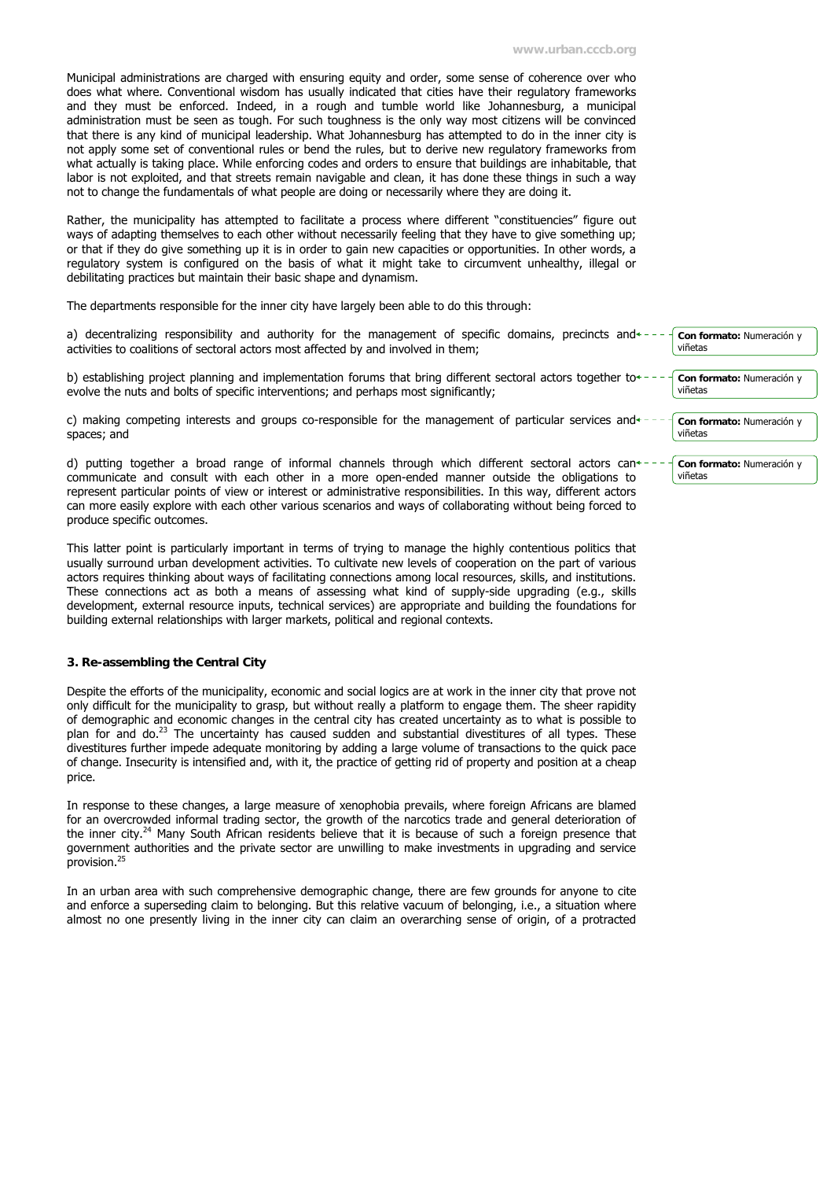Municipal administrations are charged with ensuring equity and order, some sense of coherence over who does what where. Conventional wisdom has usually indicated that cities have their regulatory frameworks and they must be enforced. Indeed, in a rough and tumble world like Johannesburg, a municipal administration must be seen as tough. For such toughness is the only way most citizens will be convinced that there is any kind of municipal leadership. What Johannesburg has attempted to do in the inner city is not apply some set of conventional rules or bend the rules, but to derive new regulatory frameworks from what actually is taking place. While enforcing codes and orders to ensure that buildings are inhabitable, that labor is not exploited, and that streets remain navigable and clean, it has done these things in such a way not to change the fundamentals of what people are doing or necessarily where they are doing it.

Rather, the municipality has attempted to facilitate a process where different "constituencies" figure out ways of adapting themselves to each other without necessarily feeling that they have to give something up; or that if they do give something up it is in order to gain new capacities or opportunities. In other words, a regulatory system is configured on the basis of what it might take to circumvent unhealthy, illegal or debilitating practices but maintain their basic shape and dynamism.

The departments responsible for the inner city have largely been able to do this through:

a) decentralizing responsibility and authority for the management of specific domains, precincts and+ activities to coalitions of sectoral actors most affected by and involved in them;

b) establishing project planning and implementation forums that bring different sectoral actors together to evolve the nuts and bolts of specific interventions; and perhaps most significantly;

c) making competing interests and groups co-responsible for the management of particular services and $\ast$ spaces; and

d) putting together a broad range of informal channels through which different sectoral actors cancommunicate and consult with each other in a more open-ended manner outside the obligations to represent particular points of view or interest or administrative responsibilities. In this way, different actors can more easily explore with each other various scenarios and ways of collaborating without being forced to produce specific outcomes.

This latter point is particularly important in terms of trying to manage the highly contentious politics that usually surround urban development activities. To cultivate new levels of cooperation on the part of various actors requires thinking about ways of facilitating connections among local resources, skills, and institutions. These connections act as both a means of assessing what kind of supply-side upgrading (e.g., skills development, external resource inputs, technical services) are appropriate and building the foundations for building external relationships with larger markets, political and regional contexts.

#### **3. Re-assembling the Central City**

Despite the efforts of the municipality, economic and social logics are at work in the inner city that prove not only difficult for the municipality to grasp, but without really a platform to engage them. The sheer rapidity of demographic and economic changes in the central city has created uncertainty as to what is possible to plan for and do.<sup>23</sup> The uncertainty has caused sudden and substantial divestitures of all types. These divestitures further impede adequate monitoring by adding a large volume of transactions to the quick pace of change. Insecurity is intensified and, with it, the practice of getting rid of property and position at a cheap price.

In response to these changes, a large measure of xenophobia prevails, where foreign Africans are blamed for an overcrowded informal trading sector, the growth of the narcotics trade and general deterioration of the inner city.<sup>24</sup> Many South African residents believe that it is because of such a foreign presence that government authorities and the private sector are unwilling to make investments in upgrading and service provision.25

In an urban area with such comprehensive demographic change, there are few grounds for anyone to cite and enforce a superseding claim to belonging. But this relative vacuum of belonging, i.e., a situation where almost no one presently living in the inner city can claim an overarching sense of origin, of a protracted

**Con formato:** Numeración y viñetas

**Con formato:** Numeración y viñetas

**Con formato:** Numeración y viñetas

**Con formato:** Numeración y viñetas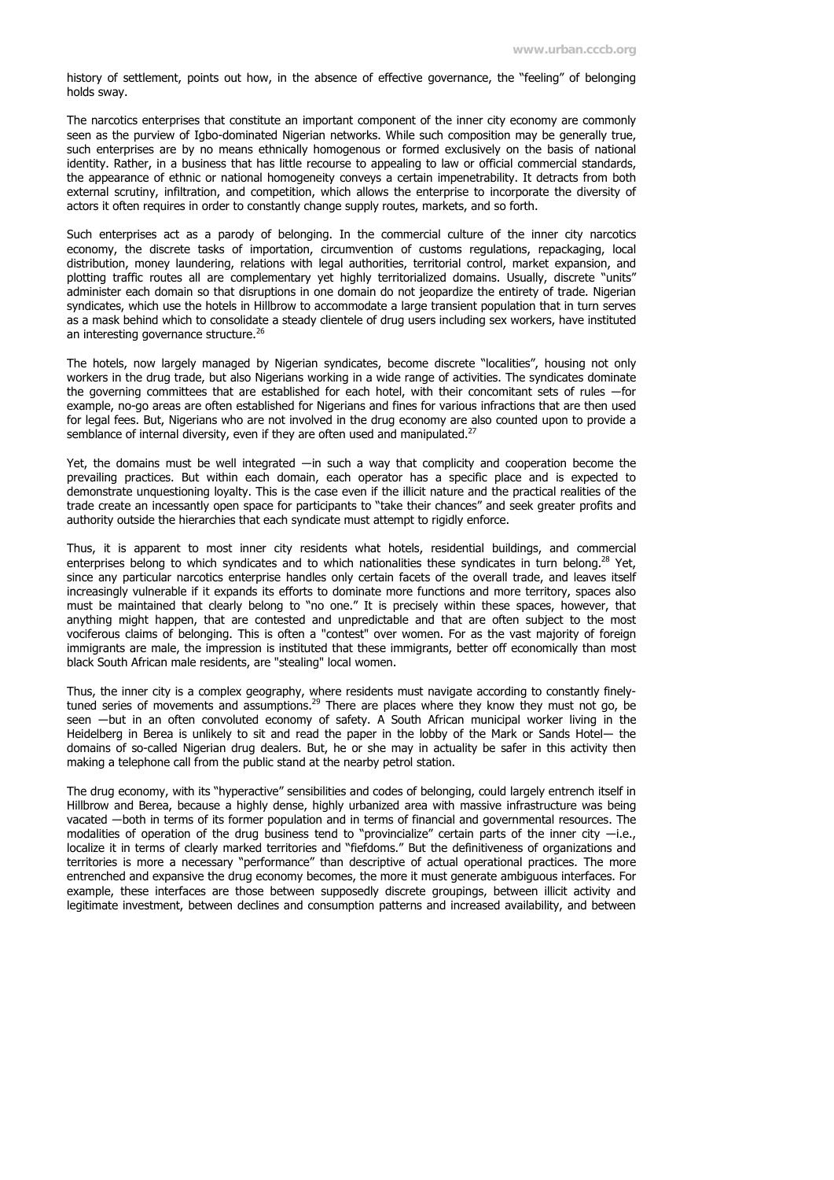history of settlement, points out how, in the absence of effective governance, the "feeling" of belonging holds sway.

The narcotics enterprises that constitute an important component of the inner city economy are commonly seen as the purview of Igbo-dominated Nigerian networks. While such composition may be generally true, such enterprises are by no means ethnically homogenous or formed exclusively on the basis of national identity. Rather, in a business that has little recourse to appealing to law or official commercial standards, the appearance of ethnic or national homogeneity conveys a certain impenetrability. It detracts from both external scrutiny, infiltration, and competition, which allows the enterprise to incorporate the diversity of actors it often requires in order to constantly change supply routes, markets, and so forth.

Such enterprises act as a parody of belonging. In the commercial culture of the inner city narcotics economy, the discrete tasks of importation, circumvention of customs regulations, repackaging, local distribution, money laundering, relations with legal authorities, territorial control, market expansion, and plotting traffic routes all are complementary yet highly territorialized domains. Usually, discrete "units" administer each domain so that disruptions in one domain do not jeopardize the entirety of trade. Nigerian syndicates, which use the hotels in Hillbrow to accommodate a large transient population that in turn serves as a mask behind which to consolidate a steady clientele of drug users including sex workers, have instituted an interesting governance structure.<sup>26</sup>

The hotels, now largely managed by Nigerian syndicates, become discrete "localities", housing not only workers in the drug trade, but also Nigerians working in a wide range of activities. The syndicates dominate the governing committees that are established for each hotel, with their concomitant sets of rules ―for example, no-go areas are often established for Nigerians and fines for various infractions that are then used for legal fees. But, Nigerians who are not involved in the drug economy are also counted upon to provide a semblance of internal diversity, even if they are often used and manipulated.<sup>27</sup>

Yet, the domains must be well integrated —in such a way that complicity and cooperation become the prevailing practices. But within each domain, each operator has a specific place and is expected to demonstrate unquestioning loyalty. This is the case even if the illicit nature and the practical realities of the trade create an incessantly open space for participants to "take their chances" and seek greater profits and authority outside the hierarchies that each syndicate must attempt to rigidly enforce.

Thus, it is apparent to most inner city residents what hotels, residential buildings, and commercial enterprises belong to which syndicates and to which nationalities these syndicates in turn belong.<sup>28</sup> Yet, since any particular narcotics enterprise handles only certain facets of the overall trade, and leaves itself increasingly vulnerable if it expands its efforts to dominate more functions and more territory, spaces also must be maintained that clearly belong to "no one." It is precisely within these spaces, however, that anything might happen, that are contested and unpredictable and that are often subject to the most vociferous claims of belonging. This is often a "contest" over women. For as the vast majority of foreign immigrants are male, the impression is instituted that these immigrants, better off economically than most black South African male residents, are "stealing" local women.

Thus, the inner city is a complex geography, where residents must navigate according to constantly finelytuned series of movements and assumptions.<sup>29</sup> There are places where they know they must not go, be seen —but in an often convoluted economy of safety. A South African municipal worker living in the Heidelberg in Berea is unlikely to sit and read the paper in the lobby of the Mark or Sands Hotel― the domains of so-called Nigerian drug dealers. But, he or she may in actuality be safer in this activity then making a telephone call from the public stand at the nearby petrol station.

The drug economy, with its "hyperactive" sensibilities and codes of belonging, could largely entrench itself in Hillbrow and Berea, because a highly dense, highly urbanized area with massive infrastructure was being vacated ―both in terms of its former population and in terms of financial and governmental resources. The modalities of operation of the drug business tend to "provincialize" certain parts of the inner city —i.e., localize it in terms of clearly marked territories and "fiefdoms." But the definitiveness of organizations and territories is more a necessary "performance" than descriptive of actual operational practices. The more entrenched and expansive the drug economy becomes, the more it must generate ambiguous interfaces. For example, these interfaces are those between supposedly discrete groupings, between illicit activity and legitimate investment, between declines and consumption patterns and increased availability, and between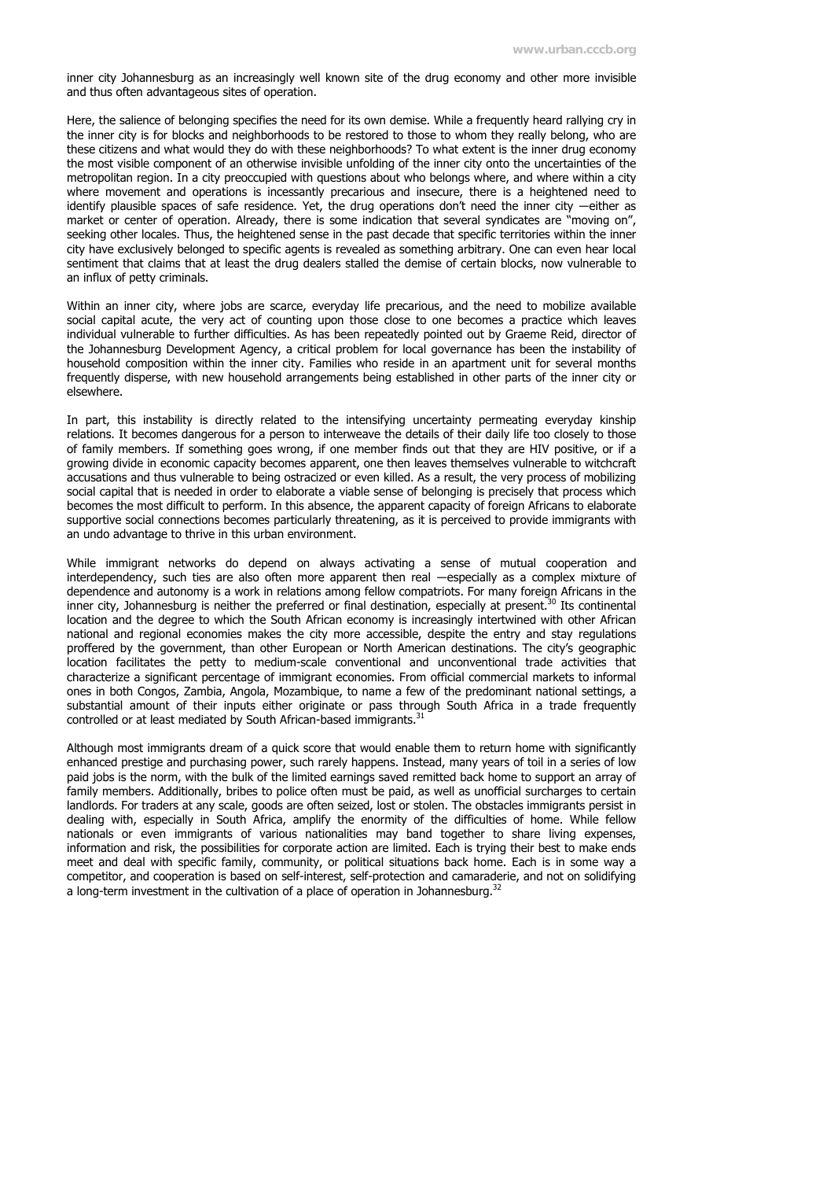inner city Johannesburg as an increasingly well known site of the drug economy and other more invisible and thus often advantageous sites of operation.

Here, the salience of belonging specifies the need for its own demise. While a frequently heard rallying cry in the inner city is for blocks and neighborhoods to be restored to those to whom they really belong, who are these citizens and what would they do with these neighborhoods? To what extent is the inner drug economy the most visible component of an otherwise invisible unfolding of the inner city onto the uncertainties of the metropolitan region. In a city preoccupied with questions about who belongs where, and where within a city where movement and operations is incessantly precarious and insecure, there is a heightened need to identify plausible spaces of safe residence. Yet, the drug operations don't need the inner city —either as market or center of operation. Already, there is some indication that several syndicates are "moving on", seeking other locales. Thus, the heightened sense in the past decade that specific territories within the inner city have exclusively belonged to specific agents is revealed as something arbitrary. One can even hear local sentiment that claims that at least the drug dealers stalled the demise of certain blocks, now vulnerable to an influx of petty criminals.

Within an inner city, where jobs are scarce, everyday life precarious, and the need to mobilize available social capital acute, the very act of counting upon those close to one becomes a practice which leaves individual vulnerable to further difficulties. As has been repeatedly pointed out by Graeme Reid, director of the Johannesburg Development Agency, a critical problem for local governance has been the instability of household composition within the inner city. Families who reside in an apartment unit for several months frequently disperse, with new household arrangements being established in other parts of the inner city or elsewhere.

In part, this instability is directly related to the intensifying uncertainty permeating everyday kinship relations. It becomes dangerous for a person to interweave the details of their daily life too closely to those of family members. If something goes wrong, if one member finds out that they are HIV positive, or if a growing divide in economic capacity becomes apparent, one then leaves themselves vulnerable to witchcraft accusations and thus vulnerable to being ostracized or even killed. As a result, the very process of mobilizing social capital that is needed in order to elaborate a viable sense of belonging is precisely that process which becomes the most difficult to perform. In this absence, the apparent capacity of foreign Africans to elaborate supportive social connections becomes particularly threatening, as it is perceived to provide immigrants with an undo advantage to thrive in this urban environment.

While immigrant networks do depend on always activating a sense of mutual cooperation and interdependency, such ties are also often more apparent then real ―especially as a complex mixture of dependence and autonomy is a work in relations among fellow compatriots. For many foreign Africans in the inner city, Johannesburg is neither the preferred or final destination, especially at present.<sup>30</sup> Its continental location and the degree to which the South African economy is increasingly intertwined with other African national and regional economies makes the city more accessible, despite the entry and stay regulations proffered by the government, than other European or North American destinations. The city's geographic location facilitates the petty to medium-scale conventional and unconventional trade activities that characterize a significant percentage of immigrant economies. From official commercial markets to informal ones in both Congos, Zambia, Angola, Mozambique, to name a few of the predominant national settings, a substantial amount of their inputs either originate or pass through South Africa in a trade frequently controlled or at least mediated by South African-based immigrants.<sup>31</sup>

Although most immigrants dream of a quick score that would enable them to return home with significantly enhanced prestige and purchasing power, such rarely happens. Instead, many years of toil in a series of low paid jobs is the norm, with the bulk of the limited earnings saved remitted back home to support an array of family members. Additionally, bribes to police often must be paid, as well as unofficial surcharges to certain landlords. For traders at any scale, goods are often seized, lost or stolen. The obstacles immigrants persist in dealing with, especially in South Africa, amplify the enormity of the difficulties of home. While fellow nationals or even immigrants of various nationalities may band together to share living expenses, information and risk, the possibilities for corporate action are limited. Each is trying their best to make ends meet and deal with specific family, community, or political situations back home. Each is in some way a competitor, and cooperation is based on self-interest, self-protection and camaraderie, and not on solidifying a long-term investment in the cultivation of a place of operation in Johannesburg.<sup>32</sup>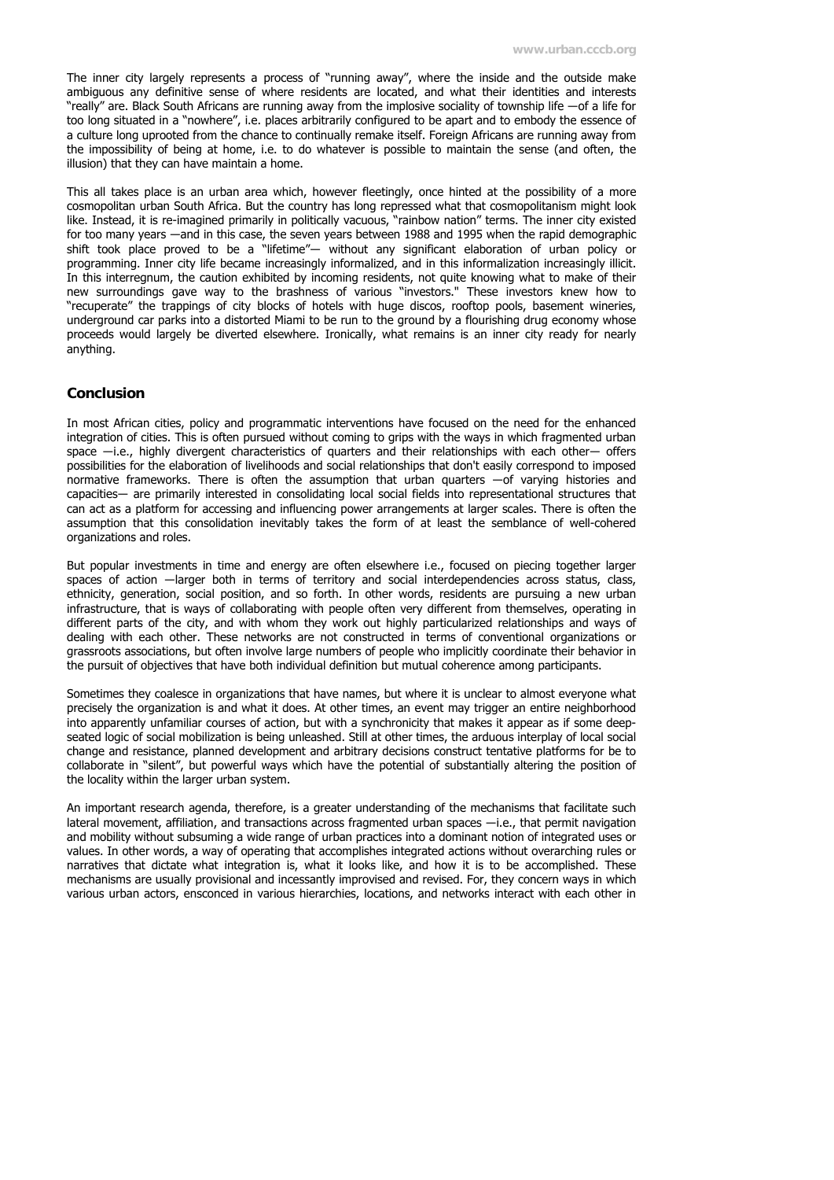The inner city largely represents a process of "running away", where the inside and the outside make ambiguous any definitive sense of where residents are located, and what their identities and interests "really" are. Black South Africans are running away from the implosive sociality of township life ―of a life for too long situated in a "nowhere", i.e. places arbitrarily configured to be apart and to embody the essence of a culture long uprooted from the chance to continually remake itself. Foreign Africans are running away from the impossibility of being at home, i.e. to do whatever is possible to maintain the sense (and often, the illusion) that they can have maintain a home.

This all takes place is an urban area which, however fleetingly, once hinted at the possibility of a more cosmopolitan urban South Africa. But the country has long repressed what that cosmopolitanism might look like. Instead, it is re-imagined primarily in politically vacuous, "rainbow nation" terms. The inner city existed for too many years —and in this case, the seven years between 1988 and 1995 when the rapid demographic shift took place proved to be a "lifetime"― without any significant elaboration of urban policy or programming. Inner city life became increasingly informalized, and in this informalization increasingly illicit. In this interregnum, the caution exhibited by incoming residents, not quite knowing what to make of their new surroundings gave way to the brashness of various "investors." These investors knew how to "recuperate" the trappings of city blocks of hotels with huge discos, rooftop pools, basement wineries, underground car parks into a distorted Miami to be run to the ground by a flourishing drug economy whose proceeds would largely be diverted elsewhere. Ironically, what remains is an inner city ready for nearly anything.

## **Conclusion**

In most African cities, policy and programmatic interventions have focused on the need for the enhanced integration of cities. This is often pursued without coming to grips with the ways in which fragmented urban space —i.e., highly divergent characteristics of quarters and their relationships with each other— offers possibilities for the elaboration of livelihoods and social relationships that don't easily correspond to imposed normative frameworks. There is often the assumption that urban quarters ―of varying histories and capacities― are primarily interested in consolidating local social fields into representational structures that can act as a platform for accessing and influencing power arrangements at larger scales. There is often the assumption that this consolidation inevitably takes the form of at least the semblance of well-cohered organizations and roles.

But popular investments in time and energy are often elsewhere i.e., focused on piecing together larger spaces of action ―larger both in terms of territory and social interdependencies across status, class, ethnicity, generation, social position, and so forth. In other words, residents are pursuing a new urban infrastructure, that is ways of collaborating with people often very different from themselves, operating in different parts of the city, and with whom they work out highly particularized relationships and ways of dealing with each other. These networks are not constructed in terms of conventional organizations or grassroots associations, but often involve large numbers of people who implicitly coordinate their behavior in the pursuit of objectives that have both individual definition but mutual coherence among participants.

Sometimes they coalesce in organizations that have names, but where it is unclear to almost everyone what precisely the organization is and what it does. At other times, an event may trigger an entire neighborhood into apparently unfamiliar courses of action, but with a synchronicity that makes it appear as if some deepseated logic of social mobilization is being unleashed. Still at other times, the arduous interplay of local social change and resistance, planned development and arbitrary decisions construct tentative platforms for be to collaborate in "silent", but powerful ways which have the potential of substantially altering the position of the locality within the larger urban system.

An important research agenda, therefore, is a greater understanding of the mechanisms that facilitate such lateral movement, affiliation, and transactions across fragmented urban spaces ―i.e., that permit navigation and mobility without subsuming a wide range of urban practices into a dominant notion of integrated uses or values. In other words, a way of operating that accomplishes integrated actions without overarching rules or narratives that dictate what integration is, what it looks like, and how it is to be accomplished. These mechanisms are usually provisional and incessantly improvised and revised. For, they concern ways in which various urban actors, ensconced in various hierarchies, locations, and networks interact with each other in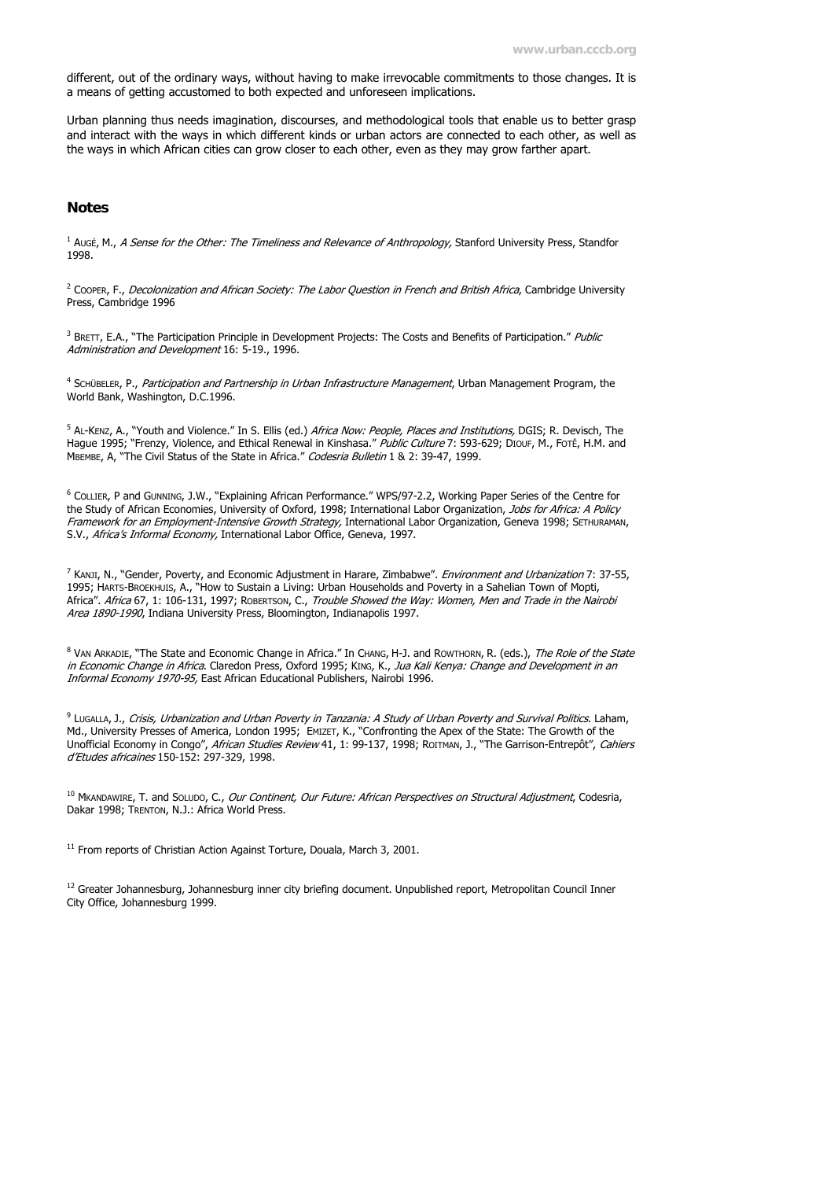different, out of the ordinary ways, without having to make irrevocable commitments to those changes. It is a means of getting accustomed to both expected and unforeseen implications.

Urban planning thus needs imagination, discourses, and methodological tools that enable us to better grasp and interact with the ways in which different kinds or urban actors are connected to each other, as well as the ways in which African cities can grow closer to each other, even as they may grow farther apart.

## **Notes**

<sup>1</sup> Augé, M., *A Sense for the Other: The Timeliness and Relevance of Anthropology, Stanford University Press, Standfor* 1998.

<sup>2</sup> Соорєк, F., *Decolonization and African Society: The Labor Question in French and British Africa, Cambridge University* Press, Cambridge 1996

<sup>3</sup> BRETT, E.A., "The Participation Principle in Development Projects: The Costs and Benefits of Participation." Public Administration and Development 16: 5-19., 1996.

4 SCHÜBELER, P., Participation and Partnership in Urban Infrastructure Management, Urban Management Program, the World Bank, Washington, D.C.1996.

<sup>5</sup> AL-KENZ, A., "Youth and Violence." In S. Ellis (ed.) *Africa Now: People, Places and Institutions,* DGIS; R. Devisch, The Hague 1995; "Frenzy, Violence, and Ethical Renewal in Kinshasa." Public Culture 7: 593-629; DIOUF, M., FOTÊ, H.M. and MBEMBE, A, "The Civil Status of the State in Africa." Codesria Bulletin 1 & 2: 39-47, 1999.

6 COLLIER, P and GUNNING, J.W., "Explaining African Performance." WPS/97-2.2, Working Paper Series of the Centre for the Study of African Economies, University of Oxford, 1998; International Labor Organization, Jobs for Africa: A Policy Framework for an Employment-Intensive Growth Strategy, International Labor Organization, Geneva 1998; SETHURAMAN, S.V., Africa's Informal Economy, International Labor Office, Geneva, 1997.

<sup>7</sup> KANJI, N., "Gender, Poverty, and Economic Adjustment in Harare, Zimbabwe". *Environment and Urbanization* 7: 37-55, 1995; HARTS-BROEKHUIS, A., "How to Sustain a Living: Urban Households and Poverty in a Sahelian Town of Mopti, Africa". Africa 67, 1: 106-131, 1997; ROBERTSON, C., Trouble Showed the Way: Women, Men and Trade in the Nairobi Area 1890-1990, Indiana University Press, Bloomington, Indianapolis 1997.

<sup>8</sup> VAN ARKADIE, "The State and Economic Change in Africa." In CHANG, H-J. and ROWTHORN, R. (eds.), *The Role of the State* in Economic Change in Africa. Claredon Press, Oxford 1995; KING, K., Jua Kali Kenya: Change and Development in an Informal Economy 1970-95, East African Educational Publishers, Nairobi 1996.

<sup>9</sup> LugaLLa, J., *Crisis, Urbanization and Urban Poverty in Tanzania: A Study of Urban Poverty and Survival Politics. Laham,* Md., University Presses of America, London 1995; EMIZET, K., "Confronting the Apex of the State: The Growth of the Unofficial Economy in Congo", *African Studies Review* 41, 1: 99-137, 1998; Romman, J., "The Garrison-Entrepôt", *Cahiers* d'Etudes africaines 150-152: 297-329, 1998.

10 MKANDAWIRE, T. and SOLUDO, C., Our Continent, Our Future: African Perspectives on Structural Adjustment, Codesria, Dakar 1998; TRENTON, N.J.: Africa World Press.

<sup>11</sup> From reports of Christian Action Against Torture, Douala, March 3, 2001.

 $12$  Greater Johannesburg, Johannesburg inner city briefing document. Unpublished report, Metropolitan Council Inner City Office, Johannesburg 1999.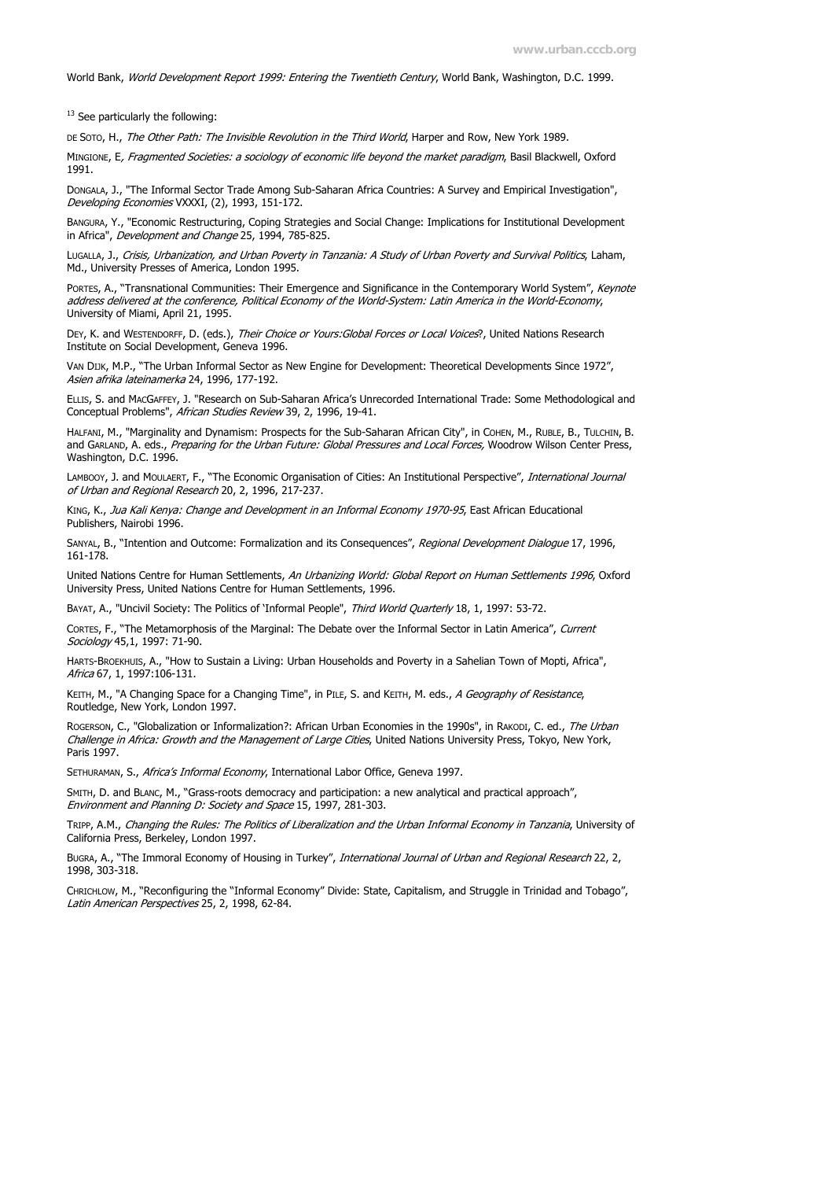World Bank, World Development Report 1999: Entering the Twentieth Century, World Bank, Washington, D.C. 1999.

<sup>13</sup> See particularly the following:

DE SOTO, H., The Other Path: The Invisible Revolution in the Third World, Harper and Row, New York 1989.

MINGIONE, E, Fragmented Societies: a sociology of economic life beyond the market paradigm, Basil Blackwell, Oxford 1991.

DONGALA, J., "The Informal Sector Trade Among Sub-Saharan Africa Countries: A Survey and Empirical Investigation", Developing Economies VXXXI, (2), 1993, 151-172.

BANGURA, Y., "Economic Restructuring, Coping Strategies and Social Change: Implications for Institutional Development in Africa", Development and Change 25, 1994, 785-825.

LUGALLA, J., Crisis, Urbanization, and Urban Poverty in Tanzania: A Study of Urban Poverty and Survival Politics, Laham, Md., University Presses of America, London 1995.

PORTES, A., "Transnational Communities: Their Emergence and Significance in the Contemporary World System", Keynote address delivered at the conference, Political Economy of the World-System: Latin America in the World-Economy, University of Miami, April 21, 1995.

DEY, K. and WESTENDORFF, D. (eds.), Their Choice or Yours: Global Forces or Local Voices?, United Nations Research Institute on Social Development, Geneva 1996.

VAN DIJK, M.P., "The Urban Informal Sector as New Engine for Development: Theoretical Developments Since 1972", Asien afrika lateinamerka 24, 1996, 177-192.

ELLIS, S. and MACGAFFEY, J. "Research on Sub-Saharan Africa's Unrecorded International Trade: Some Methodological and Conceptual Problems", African Studies Review 39, 2, 1996, 19-41.

HALFANI, M., "Marginality and Dynamism: Prospects for the Sub-Saharan African City", in COHEN, M., RUBLE, B., TULCHIN, B. and GARLAND, A. eds., Preparing for the Urban Future: Global Pressures and Local Forces, Woodrow Wilson Center Press, Washington, D.C. 1996.

LAMBOOY, J. and MOULAERT, F., "The Economic Organisation of Cities: An Institutional Perspective", International Journal of Urban and Regional Research 20, 2, 1996, 217-237.

KING, K., Jua Kali Kenya: Change and Development in an Informal Economy 1970-95, East African Educational Publishers, Nairobi 1996.

SANYAL, B., "Intention and Outcome: Formalization and its Consequences", Regional Development Dialogue 17, 1996, 161-178.

United Nations Centre for Human Settlements, An Urbanizing World: Global Report on Human Settlements 1996, Oxford University Press, United Nations Centre for Human Settlements, 1996.

BAYAT, A., "Uncivil Society: The Politics of 'Informal People", Third World Quarterly 18, 1, 1997: 53-72.

CORTES, F., "The Metamorphosis of the Marginal: The Debate over the Informal Sector in Latin America", Current Sociology 45,1, 1997: 71-90.

HARTS-BROEKHUIS, A., "How to Sustain a Living: Urban Households and Poverty in a Sahelian Town of Mopti, Africa", Africa 67, 1, 1997:106-131.

KEITH, M., "A Changing Space for a Changing Time", in PILE, S. and KEITH, M. eds., A Geography of Resistance, Routledge, New York, London 1997.

ROGERSON, C., "Globalization or Informalization?: African Urban Economies in the 1990s", in RAKODI, C. ed., The Urban Challenge in Africa: Growth and the Management of Large Cities, United Nations University Press, Tokyo, New York, Paris 1997.

SETHURAMAN, S., Africa's Informal Economy, International Labor Office, Geneva 1997.

SMITH, D. and BLANC, M., "Grass-roots democracy and participation: a new analytical and practical approach", Environment and Planning D: Society and Space 15, 1997, 281-303.

TRIPP, A.M., Changing the Rules: The Politics of Liberalization and the Urban Informal Economy in Tanzania, University of California Press, Berkeley, London 1997.

Bugra, A., "The Immoral Economy of Housing in Turkey", *International Journal of Urban and Regional Research* 22, 2, 1998, 303-318.

CHRICHLOW, M., "Reconfiguring the "Informal Economy" Divide: State, Capitalism, and Struggle in Trinidad and Tobago", Latin American Perspectives 25, 2, 1998, 62-84.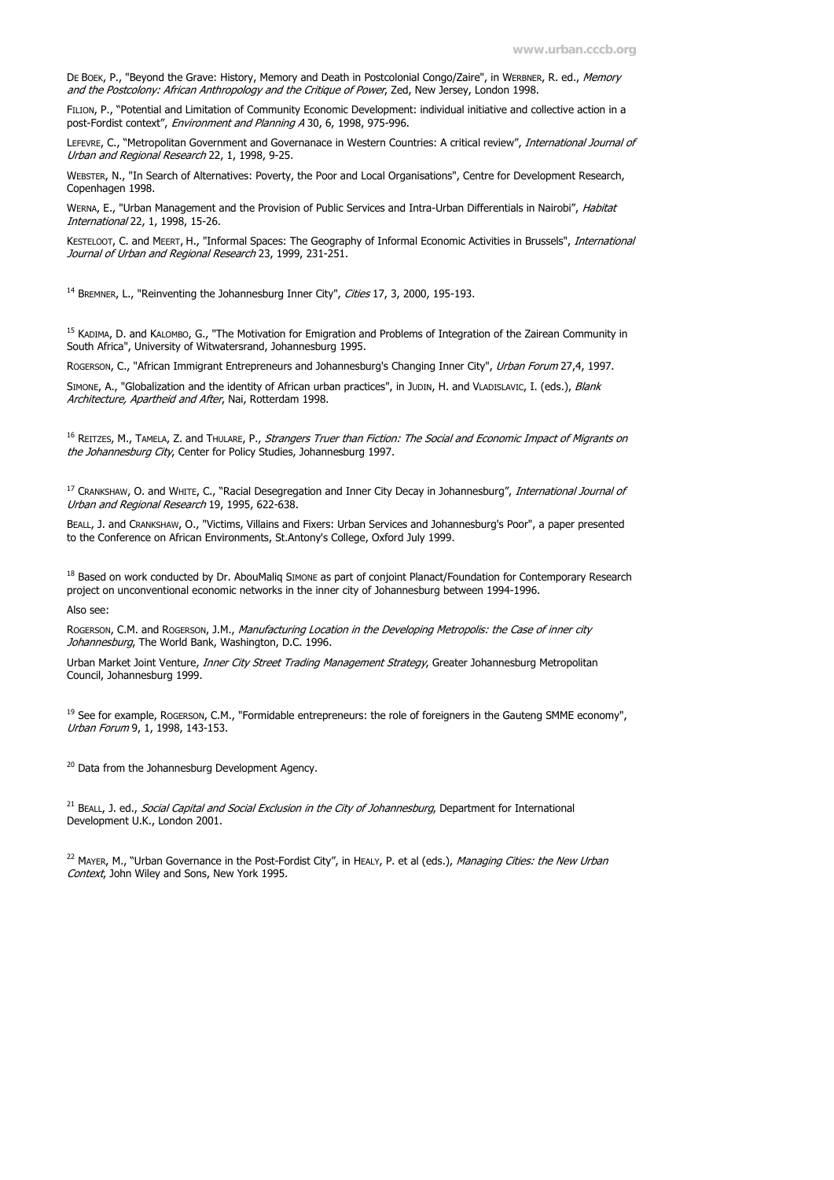DE BOEK, P., "Beyond the Grave: History, Memory and Death in Postcolonial Congo/Zaire", in WERBNER, R. ed., Memory and the Postcolony: African Anthropology and the Critique of Power, Zed, New Jersey, London 1998.

FILION, P., "Potential and Limitation of Community Economic Development: individual initiative and collective action in a post-Fordist context", Environment and Planning A 30, 6, 1998, 975-996.

LEFEVRE, C., "Metropolitan Government and Governanace in Western Countries: A critical review", International Journal of Urban and Regional Research 22, 1, 1998, 9-25.

WEBSTER, N., "In Search of Alternatives: Poverty, the Poor and Local Organisations", Centre for Development Research, Copenhagen 1998.

WERNA, E., "Urban Management and the Provision of Public Services and Intra-Urban Differentials in Nairobi", Habitat International 22, 1, 1998, 15-26.

KESTELOOT, C. and MEERT, H., "Informal Spaces: The Geography of Informal Economic Activities in Brussels", International Journal of Urban and Regional Research 23, 1999, 231-251.

<sup>14</sup> BREMNER, L., "Reinventing the Johannesburg Inner City", Cities 17, 3, 2000, 195-193.

15 KADIMA, D. and KALOMBO, G., "The Motivation for Emigration and Problems of Integration of the Zairean Community in South Africa", University of Witwatersrand, Johannesburg 1995.

ROGERSON, C., "African Immigrant Entrepreneurs and Johannesburg's Changing Inner City", Urban Forum 27.4, 1997.

SIMONE, A., "Globalization and the identity of African urban practices", in JUDIN, H. and VLADISLAVIC, I. (eds.), Blank Architecture, Apartheid and After, Nai, Rotterdam 1998.

<sup>16</sup> REITZES, M., TAMELA, Z. and THULARE, P., Strangers Truer than Fiction: The Social and Economic Impact of Migrants on the Johannesburg City, Center for Policy Studies, Johannesburg 1997.

<sup>17</sup> CRANKSHAW, O. and WHITE, C., "Racial Desegregation and Inner City Decay in Johannesburg", International Journal of Urban and Regional Research 19, 1995, 622-638.

BEALL, J. and CRANKSHAW, O., "Victims, Villains and Fixers: Urban Services and Johannesburg's Poor", a paper presented to the Conference on African Environments, St.Antony's College, Oxford July 1999.

18 Based on work conducted by Dr. AbouMaliq SIMONE as part of conjoint Planact/Foundation for Contemporary Research project on unconventional economic networks in the inner city of Johannesburg between 1994-1996.

Also see:

ROGERSON, C.M. and ROGERSON, J.M., Manufacturing Location in the Developing Metropolis: the Case of inner city Johannesburg, The World Bank, Washington, D.C. 1996.

Urban Market Joint Venture, Inner City Street Trading Management Strategy, Greater Johannesburg Metropolitan Council, Johannesburg 1999.

<sup>19</sup> See for example, RogERSON, C.M., "Formidable entrepreneurs: the role of foreigners in the Gauteng SMME economy", Urban Forum 9, 1, 1998, 143-153.

<sup>20</sup> Data from the Johannesburg Development Agency.

<sup>21</sup> BEALL, J. ed., Social Capital and Social Exclusion in the City of Johannesburg, Department for International Development U.K., London 2001.

<sup>22</sup> MAYER, M., "Urban Governance in the Post-Fordist City", in HEALY, P. et al (eds.), Managing Cities: the New Urban Context, John Wiley and Sons, New York 1995.